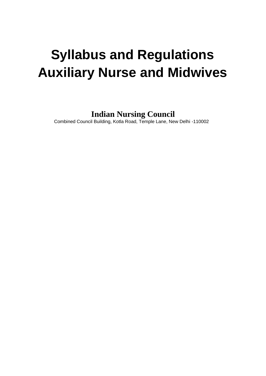# **Syllabus and Regulations Auxiliary Nurse and Midwives**

**Indian Nursing Council**

Combined Council Building, Kotla Road, Temple Lane, New Delhi -110002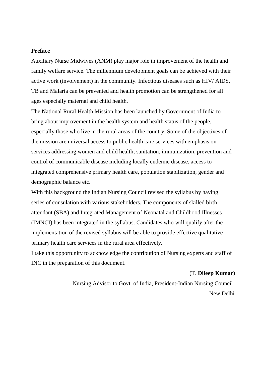#### **Preface**

Auxiliary Nurse Midwives (ANM) play major role in improvement of the health and family welfare service. The millennium development goals can be achieved with their active work (involvement) in the community. Infectious diseases such as HIV/ AIDS, TB and Malaria can be prevented and health promotion can be strengthened for all ages especially maternal and child health.

The National Rural Health Mission has been launched by Government of India to bring about improvement in the health system and health status of the people, especially those who live in the rural areas of the country. Some of the objectives of the mission are universal access to public health care services with emphasis on services addressing women and child health, sanitation, immunization, prevention and control of communicable disease including locally endemic disease, access to integrated comprehensive primary health care, population stabilization, gender and demographic balance etc.

With this background the Indian Nursing Council revised the syllabus by having series of consulation with various stakeholders. The components of skilled birth attendant (SBA) and Integrated Management of Neonatal and Childhood Illnesses (IMNCI) has been integrated in the syllabus. Candidates who will qualify after the implementation of the revised syllabus will be able to provide effective qualitative primary health care services in the rural area effectively.

I take this opportunity to acknowledge the contribution of Nursing experts and staff of INC in the preparation of this document.

#### (T. **Dileep Kumar)**

Nursing Advisor to Govt. of India, President-Indian Nursing Council New Delhi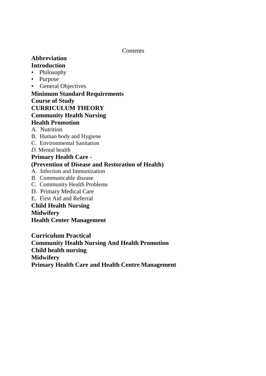Contents

# **Abbreviation Introduction**

- Philosophy
- Purpose
- General Objectives

# **Minimum Standard Requirements**

# **Course of Study**

# **CURRICULUM THEORY**

# **Community Health Nursing**

# **Health Promotion**

- A. Nutrition
- B. Human body and Hygiene
- C. Environmental Sanitation
- *D.* Mental health

### **Primary Health Care - (Prevention of Disease and Restoration of Health)**

- A. Infection and Immunization
- B. Communicable disease
- C. Community Health Problems
- D. Primary Medical Care
- E. First Aid and Referral

# **Child Health Nursing Midwifery Health Center Management**

**Curriculum Practical Community Health Nursing And Health Promotion Child health nursing Midwifery Primary Health Care and Health Centre Management**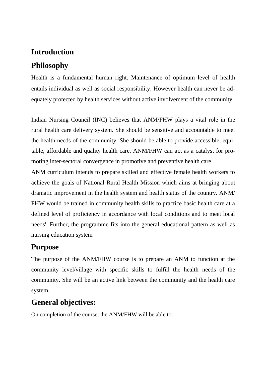# **Introduction**

# **Philosophy**

Health is a fundamental human right. Maintenance of optimum level of health entails individual as well as social responsibility. However health can never be adequately protected by health services without active involvement of the community.

Indian Nursing Council (INC) believes that ANM/FHW plays a vital role in the rural health care delivery system. She should be sensitive and accountable to meet the health needs of the community. She should be able to provide accessible, equitable, affordable and quality health care. ANM/FHW can act as a catalyst for promoting inter-sectoral convergence in promotive and preventive health care

ANM curriculum intends to prepare skilled and effective female health workers to achieve the goals of National Rural Health Mission which aims at bringing about dramatic improvement in the health system and health status of the country. ANM/ FHW would be trained in community health skills to practice basic health care at a defined level of proficiency in accordance with local conditions and to meet local needs'. Further, the programme fits into the general educational pattern as well as nursing education system

# **Purpose**

The purpose of the ANM/FHW course is to prepare an ANM to function at the community level/village with specific skills to fulfill the health needs of the community. She will be an active link between the community and the health care system.

# **General objectives:**

On completion of the course, the ANM/FHW will be able to: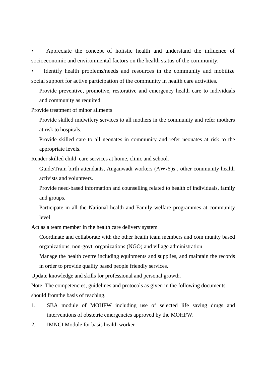• Appreciate the concept of holistic health and understand the influence of socioeconomic and environmental factors on the health status of the community.

Identify health problems/needs and resources in the community and mobilize social support for active participation of the community in health care activities.

Provide preventive, promotive, restorative and emergency health care to individuals and community as required.

Provide treatment of minor ailments

Provide skilled midwifery services to all mothers in the community and refer mothers at risk to hospitals.

Provide skilled care to all neonates in community and refer neonates at risk to the appropriate levels.

Render skilled child care services at home, clinic and school.

Guide/Train birth attendants, Anganwadi workers (AW\Y)s , other community health activists and volunteers.

Provide need-based information and counselling related to health of individuals, family and groups.

Participate in all the National health and Family welfare programmes at community level

Act as a team member in the health care delivery system

Coordinate and collaborate with the other health team members and com munity based organizations, non-govt. organizations (NGO) and village administration

Manage the health centre including equipments and supplies, and maintain the records in order to provide quality based people friendly services.

Update knowledge and skills for professional and personal growth.

Note: The competencies, guidelines and protocols as given in the following documents should fromthe basis of teaching.

- 1. SBA module of MOHFW including use of selected life saving drugs and interventions of obstetric emergencies approved by the MOHFW.
- 2. IMNCI Module for basis health worker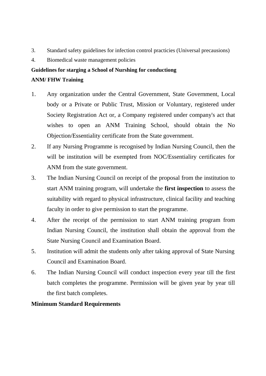- 3. Standard safety guidelines for infection control practicies (Universal precausions)
- 4. Biomedical waste management policies

### **Guidelines for starging a School of Nurshing for conductiong**

### **ANM/ FHW Training**

- 1. Any organization under the Central Government, State Government, Local body or a Private or Public Trust, Mission or Voluntary, registered under Society Registration Act or, a Company registered under company's act that wishes to open an ANM Training School, should obtain the No Objection/Essentiality certificate from the State government.
- 2. If any Nursing Programme is recognised by Indian Nursing Council, then the will be institution will be exempted from NOC/Essentialiry certificates for ANM from the state government.
- 3. The Indian Nursing Council on receipt of the proposal from the institution to start ANM training program, will undertake the **first inspection** to assess the suitability with regard to physical infrastructure, clinical facility and teaching faculty in order to give permission to start the programme.
- 4. After the receipt of the permission to start ANM training program from Indian Nursing Council, the institution shall obtain the approval from the State Nursing Council and Examination Board.
- 5. Institution will admit the students only after taking approval of State Nursing Council and Examination Board.
- 6. The Indian Nursing Council will conduct inspection every year till the first batch completes the programme. Permission will be given year by year till the first batch completes.

# **Minimum Standard Requirements**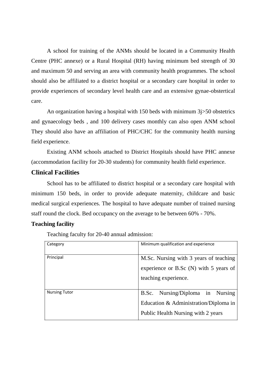A school for training of the ANMs should be located in a Community Health Centre (PHC annexe) or a Rural Hospital (RH) having minimum bed strength of 30 and maximum 50 and serving an area with community health programmes. The school should also be affiliated to a district hospital or a secondary care hospital in order to provide experiences of secondary level health care and an extensive gynae-obstertical care.

An organization having a hospital with 150 beds with minimum 3j>50 obstetrics and gynaecology beds , and 100 delivery cases monthly can also open ANM school They should also have an affiliation of PHC/CHC for the community health nursing field experience.

Existing ANM schools attached to District Hospitals should have PHC annexe (accommodation facility for 20-30 students) for community health field experience.

# **Clinical Facilities**

School has to be affiliated to district hospital or a secondary care hospital with minimum 150 beds, in order to provide adequate maternity, childcare and basic medical surgical experiences. The hospital to have adequate number of trained nursing staff round the clock. Bed occupancy on the average to be between 60% - 70%.

### **Teaching facility**

Teaching faculty for 20-40 annual admission:

| Category             | Minimum qualification and experience                                                                            |  |  |  |  |
|----------------------|-----------------------------------------------------------------------------------------------------------------|--|--|--|--|
| Principal            | M.Sc. Nursing with 3 years of teaching<br>experience or B.Sc (N) with 5 years of<br>teaching experience.        |  |  |  |  |
| <b>Nursing Tutor</b> | B.Sc. Nursing/Diploma in Nursing<br>Education & Administration/Diploma in<br>Public Health Nursing with 2 years |  |  |  |  |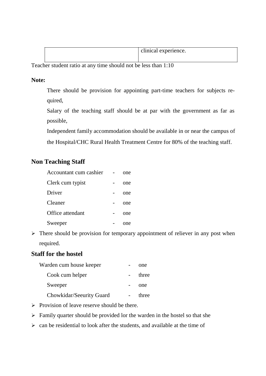|  | clinical experience. |
|--|----------------------|
|--|----------------------|

Teacher student ratio at any time should not be less than 1:10

### **Note:**

There should be provision for appointing part-time teachers for subjects required,

Salary of the teaching staff should be at par with the government as far as possible,

Independent family accommodation should be available in or near the campus of

the Hospital/CHC Rural Health Treatment Centre for 80% of the teaching staff.

# **Non Teaching Staff**

| Accountant cum cashier | one |
|------------------------|-----|
| Clerk cum typist       | one |
| Driver                 | one |
| Cleaner                | one |
| Office attendant       | one |
| Sweeper                | one |

 $\triangleright$  There should be provision for temporary appointment of reliever in any post when required.

# **Staff for the hostel**

| Warden cum house keeper  | one   |
|--------------------------|-------|
| Cook cum helper          | three |
| Sweeper                  | one   |
| Chowkidar/Seeurity Guard | three |

- $\triangleright$  Provision of leave reserve should be there.
- $\triangleright$  Family quarter should be provided lor the warden in the hostel so that she
- $\geq$  can be residential to look after the students, and available at the time of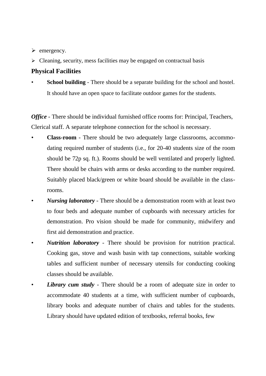- $\triangleright$  emergency.
- $\triangleright$  Cleaning, security, mess facilities may be engaged on contractual basis

# **Physical Facilities**

**School building** - There should be a separate building for the school and hostel. It should have an open space to facilitate outdoor games for the students.

*Office* - There should be individual furnished office rooms for: Principal, Teachers, Clerical staff. A separate telephone connection for the school is necessary.

- **Class-room**  There should be two adequately large classrooms, accommodating required number of students (i.e., for 20-40 students size of the room should be 72p sq. ft.). Rooms should be well ventilated and properly lighted. There should be chairs with arms or desks according to the number required. Suitably placed black/green or white board should be available in the classrooms.
- *Nursing laboratory*  There should be a demonstration room with at least two to four beds and adequate number of cupboards with necessary articles for demonstration. Pro vision should be made for community, midwifery and first aid demonstration and practice.
- *Nutrition laboratory -* There should be provision for nutrition practical. Cooking gas, stove and wash basin with tap connections, suitable working tables and sufficient number of necessary utensils for conducting cooking classes should be available.
- *Library cum study* There should be a room of adequate size in order to accommodate 40 students at a time, with sufficient number of cupboards, library books and adequate number of chairs and tables for the students. Library should have updated edition of textbooks, referral books, few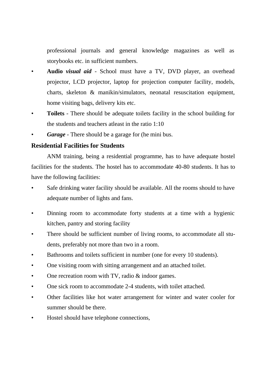professional journals and general knowledge magazines as well as storybooks etc. in sufficient numbers.

- **Audio** *visual aid* School must have a TV, DVD player, an overhead projector, LCD projector, laptop for projection computer facility, models, charts, skeleton & manikin/simulators, neonatal resuscitation equipment, home visiting bags, delivery kits etc.
- **Toilets**  There should be adequate toilets facility in the school building for the students and teachers atleast in the ratio 1:10
- *Garage -* There should be a garage for (he mini bus.

# **Residential Facilities for Students**

ANM training, being a residential programme, has to have adequate hostel facilities for the students. The hostel has to accommodate 40-80 students. It has to have the following facilities:

- Safe drinking water facility should be available. All the rooms should to have adequate number of lights and fans.
- Dinning room to accommodate forty students at a time with a hygienic kitchen, pantry and storing facility
- There should be sufficient number of living rooms, to accommodate all students, preferably not more than two in a room.
- Bathrooms and toilets sufficient in number (one for every 10 students).
- One visiting room with sitting arrangement and an attached toilet.
- One recreation room with TV, radio  $\&$  indoor games.
- One sick room to accommodate 2-4 students, with toilet attached.
- Other facilities like hot water arrangement for winter and water cooler for summer should be there.
- Hostel should have telephone connections,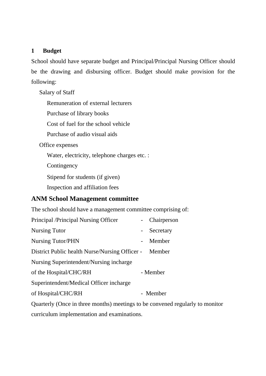### **1 Budget**

School should have separate budget and Principal/Principal Nursing Officer should be the drawing and disbursing officer. Budget should make provision for the following:

Salary of Staff

Remuneration of external lecturers

Purchase of library books

Cost of fuel for the school vehicle

Purchase of audio visual aids

Office expenses

Water, electricity, telephone charges etc. :

**Contingency** 

Stipend for students (if given)

Inspection and affiliation fees

# **ANM School Management committee**

The school should have a management committee comprising of:

| Principal /Principal Nursing Officer           | Chairperson |
|------------------------------------------------|-------------|
| <b>Nursing Tutor</b>                           | Secretary   |
| <b>Nursing Tutor/PHN</b>                       | Member      |
| District Public health Nurse/Nursing Officer - | Member      |
| Nursing Superintendent/Nursing incharge        |             |
| of the Hospital/CHC/RH                         | - Member    |
| Superintendent/Medical Officer incharge        |             |
| of Hospital/CHC/RH                             | - Member    |
|                                                |             |

Quarterly (Once in three months) meetings to be convened regularly to monitor curriculum implementation and examinations.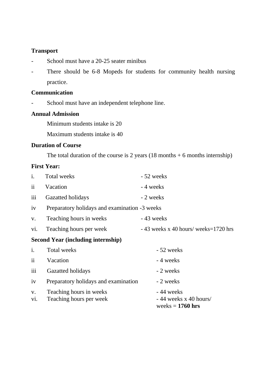### **Transport**

- School must have a 20-25 seater minibus
- There should be 6-8 Mopeds for students for community health nursing practice.

# **Communication**

- School must have an independent telephone line.

### **Annual Admission**

Minimum students intake is 20

Maximum students intake is 40

# **Duration of Course**

The total duration of the course is 2 years  $(18 \text{ months} + 6 \text{ months}$  internship)

### **First Year:**

| i.                                        | <b>Total weeks</b>                                 | - 52 weeks                                                  |  |  |
|-------------------------------------------|----------------------------------------------------|-------------------------------------------------------------|--|--|
| $\ddot{\mathbf{i}}$                       | Vacation                                           | - 4 weeks                                                   |  |  |
| iii                                       | Gazatted holidays                                  | - 2 weeks                                                   |  |  |
| iv                                        | Preparatory holidays and examination -3 weeks      |                                                             |  |  |
| V.                                        | Teaching hours in weeks                            | $-43$ weeks                                                 |  |  |
| vi.                                       | Teaching hours per week                            | $-43$ weeks x 40 hours/ weeks=1720 hrs                      |  |  |
| <b>Second Year (including internship)</b> |                                                    |                                                             |  |  |
| i.                                        | <b>Total weeks</b>                                 | - 52 weeks                                                  |  |  |
| ii                                        | Vacation                                           | - 4 weeks                                                   |  |  |
| iii                                       | Gazatted holidays                                  | - 2 weeks                                                   |  |  |
| iv                                        | Preparatory holidays and examination               | - 2 weeks                                                   |  |  |
| V.<br>vi.                                 | Teaching hours in weeks<br>Teaching hours per week | - 44 weeks<br>$-44$ weeks x 40 hours/<br>weeks $= 1760$ hrs |  |  |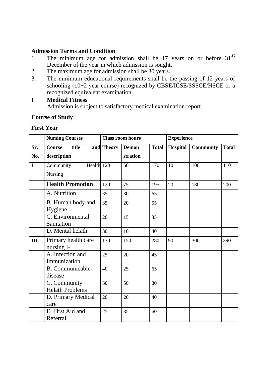### **Admission Terms and Condition**

- 1. The minimum age for admission shall be 17 years on or before  $31<sup>st</sup>$ December of the year in which admission is sought.
- 2. The maximum age for admission shall be 30 years.
- 3. The minimum educational requirements shall be the passing of 12 years of schooling (10+2 year course) recognized by CBSE/ICSE/SSSCE/HSCE or a recognized equivalent examination.

### **I Medical Fitness**

Admission is subject to satisfactory medical examination report.

# **Course of Study**

**First Year**

|             | <b>Nursing Courses</b>                 |            | <b>Class room hours</b> |              | <b>Experience</b> |                  |              |
|-------------|----------------------------------------|------------|-------------------------|--------------|-------------------|------------------|--------------|
| Sr.         | <b>Course</b><br>title                 | and Theory | <b>Demon</b>            | <b>Total</b> | Hospital          | <b>Community</b> | <b>Total</b> |
| No.         | description                            |            | stration                |              |                   |                  |              |
| $\mathbf I$ | Community<br>Health 120                |            | 50                      | 170          | 10                | 100              | 110          |
|             | Nursing                                |            |                         |              |                   |                  |              |
|             | <b>Health Promotion</b>                | 120        | 75                      | 195          | 20                | 180              | 200          |
|             | A. Nutrition                           | 35         | 30                      | 65           |                   |                  |              |
|             | B. Human body and                      | 35         | 20                      | 55           |                   |                  |              |
|             | Hygiene                                |            |                         |              |                   |                  |              |
|             | C. Environmental                       | 20         | 15                      | 35           |                   |                  |              |
|             | Sanitation                             |            |                         |              |                   |                  |              |
|             | D. Mental helath                       | 30         | 10                      | 40           |                   |                  |              |
| III         | Primary health care<br>nursing I-      | 130        | 150                     | 280          | 90                | 300              | 390          |
|             | A. Infection and<br>Immunization       | 25         | 20                      | 45           |                   |                  |              |
|             | <b>B.</b> Communicable<br>disease      | 40         | 25                      | 65           |                   |                  |              |
|             | C. Community<br><b>Helath Problems</b> | 30         | 50                      | 80           |                   |                  |              |
|             | D. Primary Medical<br>care             | 20         | 20                      | 40           |                   |                  |              |
|             | E. First Aid and<br>Referral           | 25         | 35                      | 60           |                   |                  |              |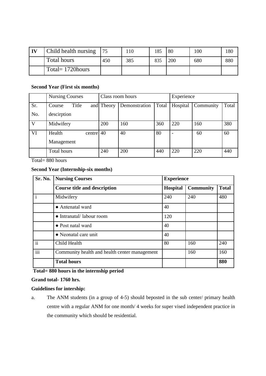| $\mathbf{I}$ | Child health nursing | I 75 | 10  | 185 | -80 | 100 | 180 |
|--------------|----------------------|------|-----|-----|-----|-----|-----|
|              | Total hours          | 450  | 385 | 835 | 200 | 680 | 880 |
|              | Total= $1720$ hours  |      |     |     |     |     |     |

#### **Second Year (First six months)**

|              | <b>Nursing Courses</b>              | Class room hours |               | Experience |          |           |       |
|--------------|-------------------------------------|------------------|---------------|------------|----------|-----------|-------|
| Sr.          | Title<br>Course                     | and Theory       | Demonstration | Total      | Hospital | Community | Total |
| No.          | descirption                         |                  |               |            |          |           |       |
| $\mathbf{V}$ | Midwifery                           | 200              | 160           | 360        | 220      | 160       | 380   |
| VI           | centre $40$<br>Health<br>Management |                  | 40            | 80         |          | 60        | 60    |
|              | <b>Total hours</b>                  | 240              | 200           | 440        | 220      | 220       | 440   |

Total= 880 hours

#### **Second Year (Internship-six months)**

| Sr. No.         | <b>Nursing Courses</b>                        | <b>Experience</b> |                  |              |  |  |
|-----------------|-----------------------------------------------|-------------------|------------------|--------------|--|--|
|                 | <b>Course title and description</b>           | Hospital          | <b>Community</b> | <b>Total</b> |  |  |
| $\mathbf{i}$    | Midwifery                                     | 240               | 240              | 480          |  |  |
|                 | • Antenatal ward                              | 40                |                  |              |  |  |
|                 | $\bullet$ Intranatal/labour room              | 120               |                  |              |  |  |
|                 | • Post natal ward                             | 40                |                  |              |  |  |
|                 | • Neonatal care unit                          | 40                |                  |              |  |  |
| $\ddot{\rm ii}$ | Child Health                                  | 80                | 160              | 240          |  |  |
| iii             | Community health and health center management |                   | 160              | 160          |  |  |
|                 | <b>Total hours</b>                            |                   |                  | 880          |  |  |

# **Total= 880 hours in the internship period**

#### **Grand total- 1760 hrs.**

#### **Guidelines for intership:**

a. The ANM students (in a group of 4-5) should beposted in the sub center/ primary health centre with a regular ANM for one month/ 4 weeks for super vised independent practice in the community which should be residential.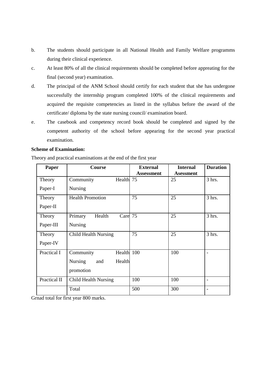- b. The students should participate in all National Health and Family Welfare programms during their clinical experience.
- c. At least 80% of all the clinical requirements should be completed before appreating for the final (second year) examination.
- d. The principal of the ANM School should certify for each student that she has undergone successfully the internship program completed 100% of the clinical requirements and acquired the requisite competencies as listed in the syllabus before the award of the certificate/ diploma by the state nursing council/ examination board.
- e. The casebook and competency record book should be completed and signed by the competent authority of the school before appearing for the second year practical examination.

#### **Scheme of Examination:**

Theory and practical examinations at the end of the first year

| Paper        | <b>Course</b>                   | <b>External</b>   | <b>Internal</b>  | <b>Duration</b>          |
|--------------|---------------------------------|-------------------|------------------|--------------------------|
|              |                                 | <b>Assessment</b> | <b>Asessment</b> |                          |
| Theory       | Health 75<br>Community          |                   | 25               | $3$ hrs.                 |
| Paper-I      | <b>Nursing</b>                  |                   |                  |                          |
| Theory       | <b>Health Promotion</b>         | 75                | 25               | $3$ hrs.                 |
| Paper-II     |                                 |                   |                  |                          |
| Theory       | Care 75<br>Primary<br>Health    |                   | 25               | 3 hrs.                   |
| Paper-III    | <b>Nursing</b>                  |                   |                  |                          |
| Theory       | <b>Child Health Nursing</b>     | 75                | 25               | $3$ hrs.                 |
| Paper-IV     |                                 |                   |                  |                          |
| Practical I  | Health 100<br>Community         |                   | 100              | $\overline{\phantom{a}}$ |
|              | Health<br><b>Nursing</b><br>and |                   |                  |                          |
|              | promotion                       |                   |                  |                          |
| Practical II | Child Health Nursing            | 100               | 100              |                          |
|              | Total                           | 500               | 300              | $\overline{\phantom{a}}$ |

Grnad total for first year 800 marks.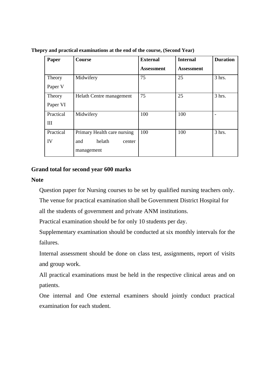| Paper     | <b>Course</b>               | <b>External</b>   | <b>Internal</b>   | <b>Duration</b> |
|-----------|-----------------------------|-------------------|-------------------|-----------------|
|           |                             | <b>Assessment</b> | <b>Assessment</b> |                 |
| Theory    | Midwifery                   | 75                | 25                | 3 hrs.          |
| Paper V   |                             |                   |                   |                 |
| Theory    | Helath Centre management    | 75                | 25                | $3$ hrs.        |
| Paper VI  |                             |                   |                   |                 |
| Practical | Midwifery                   | 100               | 100               | ÷               |
| III       |                             |                   |                   |                 |
| Practical | Primary Health care nursing | 100               | 100               | 3 hrs.          |
| IV        | helath<br>and<br>center     |                   |                   |                 |
|           | management                  |                   |                   |                 |

**Thepry and practical examinations at the end of the course, (Second Year)**

### **Grand total for second year 600 marks**

### **Note**

Question paper for Nursing courses to be set by qualified nursing teachers only.

The venue for practical examination shall be Government District Hospital for

all the students of government and private ANM institutions.

Practical examination should be for only 10 students per day.

Supplementary examination should be conducted at six monthly intervals for the failures.

Internal assessment should be done on class test, assignments, report of visits and group work.

All practical examinations must be held in the respective clinical areas and on patients.

One internal and One external examiners should jointly conduct practical examination for each student.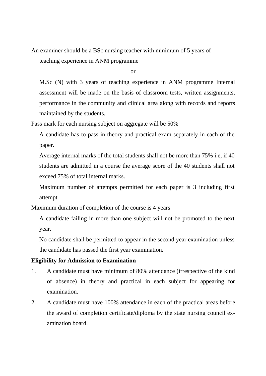An examiner should be a BSc nursing teacher with minimum of 5 years of teaching experience in ANM programme

or

M.Sc (N) with 3 years of teaching experience in ANM programme Internal assessment will be made on the basis of classroom tests, written assignments, performance in the community and clinical area along with records and reports maintained by the students.

Pass mark for each nursing subject on aggregate will be 50%

A candidate has to pass in theory and practical exam separately in each of the paper.

Average internal marks of the total students shall not be more than 75% i.e, if 40 students are admitted in a course the average score of the 40 students shall not exceed 75% of total internal marks.

Maximum number of attempts permitted for each paper is 3 including first attempt

Maximum duration of completion of the course is 4 years

A candidate failing in more than one subject will not be promoted to the next year.

No candidate shall be permitted to appear in the second year examination unless the candidate has passed the first year examination.

#### **Eligibility for Admission to Examination**

- 1. A candidate must have minimum of 80% attendance (irrespective of the kind of absence) in theory and practical in each subject for appearing for examination.
- 2. A candidate must have 100% attendance in each of the practical areas before the award of completion certificate/diploma by the state nursing council examination board.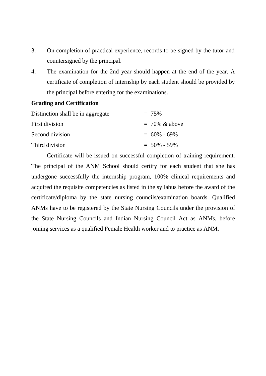- 3. On completion of practical experience, records to be signed by the tutor and countersigned by the principal.
- 4. The examination for the 2nd year should happen at the end of the year. A certificate of completion of internship by each student should be provided by the principal before entering for the examinations.

### **Grading and Certification**

| Distinction shall be in aggregate | $= 75\%$          |
|-----------------------------------|-------------------|
| First division                    | $= 70\% \& above$ |
| Second division                   | $= 60\% - 69\%$   |
| Third division                    | $= 50\% - 59\%$   |

Certificate will be issued on successful completion of training requirement. The principal of the ANM School should certify for each student that she has undergone successfully the internship program, 100% clinical requirements and acquired the requisite competencies as listed in the syllabus before the award of the certificate/diploma by the state nursing councils/examination boards. Qualified ANMs have to be registered by the State Nursing Councils under the provision of the State Nursing Councils and Indian Nursing Council Act as ANMs, before joining services as a qualified Female Health worker and to practice as ANM.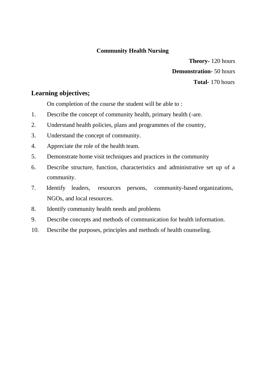# **Community Health Nursing**

**Theory-** 120 hours **Demonstration-** 50 hours **Total-** 170 hours

# **Learning objectives;**

On completion of the course the student will be able to :

- 1. Describe the concept of community health, primary health (-are.
- 2. Understand health policies, plans and programmes of the country,
- 3. Understand the concept of community.
- 4. Appreciate the role of the health team.
- 5. Demonstrate home visit techniques and practices in the community
- 6. Describe structure, function, characteristics and administrative set up of a community.
- 7. Identify leaders, resources persons, community-based organizations, NGOs, and local resources.
- 8. Identify community health needs and problems
- 9. Describe concepts and methods of communication for health information.
- 10. Describe the purposes, principles and methods of health counseling.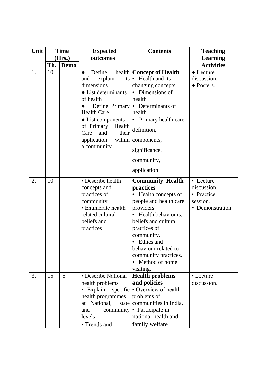| Unit |     | <b>Time</b> | <b>Expected</b>                                                                                                                                                                                                                   | <b>Contents</b>                                                                                                                                                                                                                                                                   | <b>Teaching</b>                                                       |
|------|-----|-------------|-----------------------------------------------------------------------------------------------------------------------------------------------------------------------------------------------------------------------------------|-----------------------------------------------------------------------------------------------------------------------------------------------------------------------------------------------------------------------------------------------------------------------------------|-----------------------------------------------------------------------|
|      |     | (Hrs.)      | outcomes                                                                                                                                                                                                                          |                                                                                                                                                                                                                                                                                   | <b>Learning</b>                                                       |
|      | Th. | <b>Demo</b> |                                                                                                                                                                                                                                   |                                                                                                                                                                                                                                                                                   | <b>Activities</b>                                                     |
| 1.   | 10  |             | Define<br>$\bullet$<br>explain<br>its<br>and<br>dimensions<br>• List determinants<br>of health<br><b>Health Care</b><br>• List components<br>of Primary<br>Health<br>their<br>Care<br>and<br>within<br>application<br>a community | health Concept of Health<br>Health and its<br>$\bullet$<br>changing concepts.<br>• Dimensions of<br>health<br>Define Primary • Determinants of<br>health<br>• Primary health care,<br>definition,<br>components,<br>significance.<br>community,<br>application                    | $\bullet$ Lecture<br>discussion.<br>• Posters.                        |
| 2.   | 10  |             | • Describe health<br>concepts and<br>practices of<br>community.<br>• Enumerate health<br>related cultural<br>beliefs and<br>practices                                                                                             | <b>Community Health</b><br>practices<br>• Health concepts of<br>people and health care<br>providers.<br>• Health behaviours,<br>beliefs and cultural<br>practices of<br>community.<br>Ethics and<br>behaviour related to<br>community practices.<br>• Method of home<br>visiting. | • Lecture<br>discussion.<br>• Practice<br>session.<br>• Demonstration |
| 3.   | 15  | 5           | • Describe National<br>health problems<br>• Explain<br>specific<br>health programmes<br>at National,<br>state<br>and<br>community<br>levels<br>• Trends and                                                                       | <b>Health problems</b><br>and policies<br>• Overview of health<br>problems of<br>communities in India.<br>• Participate in<br>national health and<br>family welfare                                                                                                               | • Lecture<br>discussion.                                              |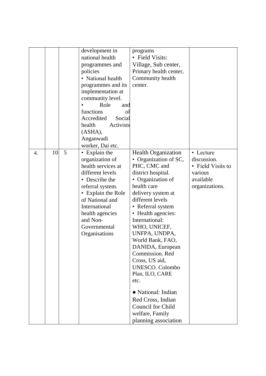|    |    |   | development in<br>national health<br>programmes and<br>policies<br>• National health<br>programmes and its<br>implementation at<br>community level.<br>Role<br>and<br>functions<br>Оt<br>Accredited<br>Social<br>health<br>Activists       | programs<br>• Field Visits:<br>Village, Sub center,<br>Primary health center,<br>Community health<br>center.                                                                                                                                                                                                                                                                                                                                                                                                     |                                                                                         |
|----|----|---|--------------------------------------------------------------------------------------------------------------------------------------------------------------------------------------------------------------------------------------------|------------------------------------------------------------------------------------------------------------------------------------------------------------------------------------------------------------------------------------------------------------------------------------------------------------------------------------------------------------------------------------------------------------------------------------------------------------------------------------------------------------------|-----------------------------------------------------------------------------------------|
|    |    |   | (ASHA),<br>Anganwadi<br>worker, Dai etc.                                                                                                                                                                                                   |                                                                                                                                                                                                                                                                                                                                                                                                                                                                                                                  |                                                                                         |
| 4. | 10 | 5 | • Explain the<br>organization of<br>health services at<br>different levels<br>• Describe the<br>referral system.<br>• Explain the Role<br>of National and<br>International<br>health agencies<br>and Non-<br>Governmental<br>Organisations | <b>Health Organization</b><br>Organization of SC,<br>PHC, CMC and<br>district hospital.<br>• Organization of<br>health care<br>delivery system at<br>different levels<br>• Referral system<br>• Health agencies:<br>International:<br>WHO, UNICEF,<br>UNFPA, UNDPA,<br>World Bank, FAO,<br>DANIDA, European<br>Commission. Red<br>Cross, US aid,<br><b>UNESCO.</b> Colombo<br>Plan, ILO, CARE<br>etc.<br>• National: Indian<br>Red Cross, Indian<br>Council for Child<br>welfare, Family<br>planning association | • Lecture<br>discussion.<br>• Field Visits to<br>various<br>available<br>organizations. |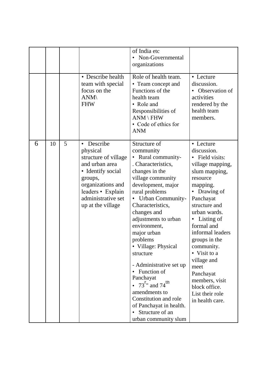|   |    |   |                                                                                                                                                                                                  | of India etc<br>• Non-Governmental<br>organizations                                                                                                                                                                                                                                                                                                                                                                                                                                                                                                     |                                                                                                                                                                                                                                                                                                                                                                                                            |
|---|----|---|--------------------------------------------------------------------------------------------------------------------------------------------------------------------------------------------------|---------------------------------------------------------------------------------------------------------------------------------------------------------------------------------------------------------------------------------------------------------------------------------------------------------------------------------------------------------------------------------------------------------------------------------------------------------------------------------------------------------------------------------------------------------|------------------------------------------------------------------------------------------------------------------------------------------------------------------------------------------------------------------------------------------------------------------------------------------------------------------------------------------------------------------------------------------------------------|
|   |    |   | • Describe health<br>team with special<br>focus on the<br>$ANM\setminus$<br><b>FHW</b>                                                                                                           | Role of health team.<br>• Team concept and<br>Functions of the<br>health team<br>• Role and<br>Responsibilities of<br>$ANN \ H$<br>• Code of ethics for<br><b>ANM</b>                                                                                                                                                                                                                                                                                                                                                                                   | • Lecture<br>discussion.<br>Observation of<br>activities<br>rendered by the<br>health team<br>members.                                                                                                                                                                                                                                                                                                     |
| 6 | 10 | 5 | Describe<br>$\bullet$<br>physical<br>structure of village<br>and urban area<br>• Identify social<br>groups,<br>organizations and<br>leaders • Explain<br>administrative set<br>up at the village | Structure of<br>community<br>• Rural community-<br>. Characteristics,<br>changes in the<br>village community<br>development, major<br>rural problems<br><b>Urban Community-</b><br>Characteristics,<br>changes and<br>adjustments to urban<br>environment,<br>major urban<br>problems<br>• Village: Physical<br>structure<br>- Administrative set up<br>Function of<br>Panchayat<br>• $73^{\text{r}}$ and $74^{\text{th}}$<br>amendments to<br>Constitution and role<br>of Panchayat in health.<br>Structure of an<br>$\bullet$<br>urban community slum | • Lecture<br>discussion.<br>• Field visits:<br>village mapping,<br>slum mapping,<br>resource<br>mapping.<br>Drawing of<br>$\bullet$<br>Panchayat<br>structure and<br>urban wards.<br>Listing of<br>$\bullet$<br>formal and<br>informal leaders<br>groups in the<br>community.<br>• Visit to a<br>village and<br>meet<br>Panchayat<br>members, visit<br>block office.<br>List their role<br>in health care. |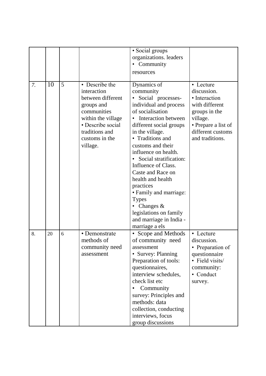|    |    |   |                    | • Social groups                |                     |
|----|----|---|--------------------|--------------------------------|---------------------|
|    |    |   |                    | organizations. leaders         |                     |
|    |    |   |                    | Community                      |                     |
|    |    |   |                    | resources                      |                     |
|    |    |   |                    |                                |                     |
| 7. | 10 | 5 | • Describe the     | Dynamics of                    | • Lecture           |
|    |    |   | interaction        | community                      | discussion.         |
|    |    |   | between different  | Social processes-<br>$\bullet$ | • Interaction       |
|    |    |   | groups and         | individual and process         | with different      |
|    |    |   | communities        | of socialisation               | groups in the       |
|    |    |   | within the village | Interaction between            | village.            |
|    |    |   | • Describe social  | different social groups        | • Prepare a list of |
|    |    |   | traditions and     | in the village.                | different customs   |
|    |    |   | customs in the     | • Traditions and               | and traditions.     |
|    |    |   | village.           | customs and their              |                     |
|    |    |   |                    | influence on health.           |                     |
|    |    |   |                    | Social stratification:         |                     |
|    |    |   |                    | Influence of Class.            |                     |
|    |    |   |                    | Caste and Race on              |                     |
|    |    |   |                    | health and health              |                     |
|    |    |   |                    | practices                      |                     |
|    |    |   |                    | • Family and marriage:         |                     |
|    |    |   |                    | <b>Types</b>                   |                     |
|    |    |   |                    | Changes $\&$                   |                     |
|    |    |   |                    | legislations on family         |                     |
|    |    |   |                    | and marriage in India -        |                     |
|    |    |   |                    | marriage a els                 |                     |
| 8. | 20 | 6 | • Demonstrate      | Scope and Methods<br>٠         | • Lecture           |
|    |    |   | methods of         | of community need              | discussion.         |
|    |    |   | community need     | assessment                     | • Preparation of    |
|    |    |   | assessment         | • Survey: Planning             | questionnaire       |
|    |    |   |                    | Preparation of tools:          | • Field visits/     |
|    |    |   |                    | questionnaires,                | community:          |
|    |    |   |                    | interview schedules,           | • Conduct           |
|    |    |   |                    | check list etc                 | survey.             |
|    |    |   |                    | Community                      |                     |
|    |    |   |                    | survey: Principles and         |                     |
|    |    |   |                    | methods: data                  |                     |
|    |    |   |                    | collection, conducting         |                     |
|    |    |   |                    | interviews, focus              |                     |
|    |    |   |                    | group discussions              |                     |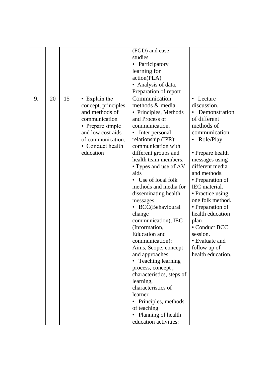|    |    |    |                     | (FGD) and case                  |                   |
|----|----|----|---------------------|---------------------------------|-------------------|
|    |    |    |                     | studies                         |                   |
|    |    |    |                     | • Participatory                 |                   |
|    |    |    |                     | learning for                    |                   |
|    |    |    |                     | action(PLA)                     |                   |
|    |    |    |                     | • Analysis of data,             |                   |
|    |    |    |                     | Preparation of report           |                   |
| 9. | 20 | 15 | • Explain the       | Communication                   | • Lecture         |
|    |    |    | concept, principles | methods & media                 | discussion.       |
|    |    |    | and methods of      | • Principles, Methods           | Demonstration     |
|    |    |    | communication       | and Process of                  | of different      |
|    |    |    | • Prepare simple    | communication.                  | methods of        |
|    |    |    | and low cost aids   | Inter personal<br>٠             | communication     |
|    |    |    | of communication.   | relationship (IPR):             | Role/Play.        |
|    |    |    | • Conduct health    | communication with              |                   |
|    |    |    | education           | different groups and            | • Prepare health  |
|    |    |    |                     | health team members.            | messages using    |
|    |    |    |                     | • Types and use of AV           | different media   |
|    |    |    |                     | aids                            | and methods.      |
|    |    |    |                     | • Use of local folk             | • Preparation of  |
|    |    |    |                     | methods and media for           | IEC material.     |
|    |    |    |                     | disseminating health            | • Practice using  |
|    |    |    |                     | messages.                       | one folk method.  |
|    |    |    |                     | • BCC(Behavioural               | • Preparation of  |
|    |    |    |                     | change                          | health education  |
|    |    |    |                     | communication), IEC             | plan              |
|    |    |    |                     | (Information,                   | • Conduct BCC     |
|    |    |    |                     | <b>Education</b> and            | session.          |
|    |    |    |                     | communication):                 | • Evaluate and    |
|    |    |    |                     | Aims, Scope, concept            | follow up of      |
|    |    |    |                     | and approaches                  | health education. |
|    |    |    |                     | • Teaching learning             |                   |
|    |    |    |                     | process, concept,               |                   |
|    |    |    |                     | characteristics, steps of       |                   |
|    |    |    |                     | learning,                       |                   |
|    |    |    |                     | characteristics of              |                   |
|    |    |    |                     | learner                         |                   |
|    |    |    |                     | Principles, methods<br>٠        |                   |
|    |    |    |                     | of teaching                     |                   |
|    |    |    |                     | Planning of health<br>$\bullet$ |                   |
|    |    |    |                     | education activities:           |                   |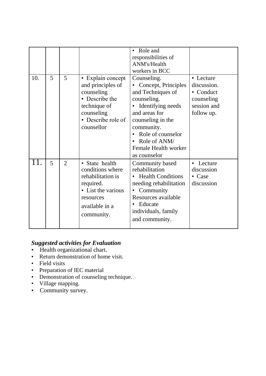|     |   |                |                                                                                                                                          | Role and<br>responsibilities of<br>ANM's/Health<br>workers in BCC                                                                                                                                                                         |                                                                                  |
|-----|---|----------------|------------------------------------------------------------------------------------------------------------------------------------------|-------------------------------------------------------------------------------------------------------------------------------------------------------------------------------------------------------------------------------------------|----------------------------------------------------------------------------------|
| 10. | 5 | 5              | • Explain concept<br>and principles of<br>counseling<br>• Describe the<br>technique of<br>counseling<br>• Describe role of<br>counsellor | Counseling.<br>Concept, Principles<br>and Techniques of<br>counseling.<br>Identifying needs<br>$\bullet$<br>and areas for<br>counseling in the<br>community.<br>Role of counselor<br>Role of ANM/<br>Female Health worker<br>as counselor | • Lecture<br>discussion.<br>• Conduct<br>counseling<br>session and<br>follow up. |
| 11. | 5 | $\overline{2}$ | · State health<br>conditions where<br>rehabilitation is<br>required.<br>• List the various<br>resources<br>available in a<br>community.  | Community based<br>rehabilitation<br><b>Health Conditions</b><br>$\bullet$<br>needing rehabilitation<br>Community<br>Resources available<br>Educate<br>individuals, family<br>and community.                                              | Lecture<br>$\bullet$<br>discussion<br>• Case<br>discussion                       |

# *Suggested activities for Evaluation*

- Health organizational chart.
- Return demonstration of home visit.
- Field visits
- Preparation of IEC material
- Demonstration of counseling technique.
- Village mapping.
- Community survey.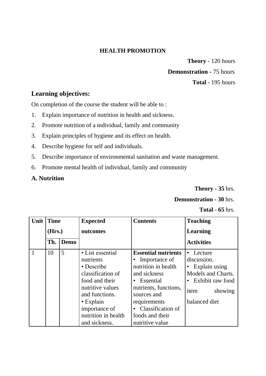### **HEALTH PROMOTION**

**Theory** - 120 hours **Demonstration -** 75 hours **Total** - 195 hours

# **Learning objectives:**

On completion of the course the student will be able to :

- 1. Explain importance of nutrition in health and sickness.
- 2. Promote nutrition of a individual, family and community
- 3. Explain principles of hygiene and its effect on health.
- 4. Describe hygiene for self and individuals.
- 5. Describe importance of environmental sanitation and waste management.
- 6. Promote mental health of individual, family and community

# **A. Nutrition**

**Theory - 35** hrs.

# **Demonstration - 30** hrs.

**Total - 65** hrs.

| Unit | <b>Time</b> |      | <b>Expected</b>                                                                                                                                                                                      | <b>Contents</b>                                                                                                                                                                                                                              | <b>Teaching</b>                                                                                                                     |
|------|-------------|------|------------------------------------------------------------------------------------------------------------------------------------------------------------------------------------------------------|----------------------------------------------------------------------------------------------------------------------------------------------------------------------------------------------------------------------------------------------|-------------------------------------------------------------------------------------------------------------------------------------|
|      | (Hrs.)      |      | outcomes                                                                                                                                                                                             |                                                                                                                                                                                                                                              | <b>Learning</b>                                                                                                                     |
|      | Th.         | Demo |                                                                                                                                                                                                      |                                                                                                                                                                                                                                              | <b>Activities</b>                                                                                                                   |
|      | 10          | 5    | • List essential<br>nutrients<br>• Describe<br>classification of<br>food and their<br>nutritive values<br>and functions.<br>$\cdot$ Explain<br>importance of<br>nutrition in health<br>and sickness. | <b>Essential nutrients</b><br>Importance of<br>nutrition in health<br>and sickness<br>Essential<br>$\bullet$<br>nutrients, functions,<br>sources and<br>requirements<br>Classification of<br>$\bullet$<br>foods and their<br>nutritive value | • Lecture<br>discussion.<br>$\bullet$ Explain using<br>Models and Charts.<br>• Exhibit raw food<br>showing<br>item<br>balanced diet |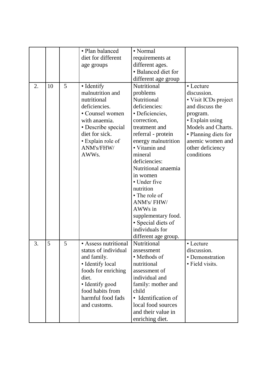|    |    |   | • Plan balanced      | • Normal             |                      |
|----|----|---|----------------------|----------------------|----------------------|
|    |    |   |                      |                      |                      |
|    |    |   | diet for different   | requirements at      |                      |
|    |    |   | age groups           | different ages.      |                      |
|    |    |   |                      | • Balanced diet for  |                      |
|    |    |   |                      | different age group  |                      |
| 2. | 10 | 5 | • Identify           | Nutritional          | • Lecture            |
|    |    |   | malnutrition and     | problems             | discussion.          |
|    |    |   | nutritional          | Nutritional          | • Visit ICDs project |
|    |    |   | deficiencies.        | deficiencies:        | and discuss the      |
|    |    |   | • Counsel women      | • Deficiencies,      | program.             |
|    |    |   | with anaemia.        | correction,          | • Explain using      |
|    |    |   | • Describe special   | treatment and        | Models and Charts.   |
|    |    |   | diet for sick.       | referral - protein   | · Planning diets for |
|    |    |   | • Explain role of    | energy malnutrition  | anemic women and     |
|    |    |   | ANM's/FHW/           | • Vitamin and        | other deficiency     |
|    |    |   | AWW <sub>s</sub> .   | mineral              | conditions           |
|    |    |   |                      | deficiencies:        |                      |
|    |    |   |                      | Nutritional anaemia  |                      |
|    |    |   |                      | in women             |                      |
|    |    |   |                      | • Under five         |                      |
|    |    |   |                      | nutrition            |                      |
|    |    |   |                      | • The role of        |                      |
|    |    |   |                      | ANM's/FHW/           |                      |
|    |    |   |                      | AWWs in              |                      |
|    |    |   |                      | supplementary food.  |                      |
|    |    |   |                      | • Special diets of   |                      |
|    |    |   |                      | individuals for      |                      |
|    |    |   |                      | different age group. |                      |
| 3. | 5  | 5 | • Assess nutritional | Nutritional          | • Lecture            |
|    |    |   | status of individual | assessment           | discussion.          |
|    |    |   | and family.          | • Methods of         | • Demonstration      |
|    |    |   | • Identify local     | nutritional          | • Field visits.      |
|    |    |   | foods for enriching  | assessment of        |                      |
|    |    |   | diet.                | individual and       |                      |
|    |    |   | • Identify good      | family: mother and   |                      |
|    |    |   | food habits from     | child                |                      |
|    |    |   | harmful food fads    | • Identification of  |                      |
|    |    |   | and customs.         | local food sources   |                      |
|    |    |   |                      | and their value in   |                      |
|    |    |   |                      |                      |                      |
|    |    |   |                      | enriching diet.      |                      |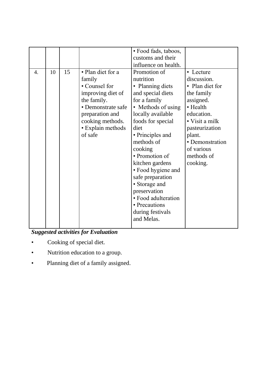|                  |    |    |                    | • Food fads, taboos, |                        |
|------------------|----|----|--------------------|----------------------|------------------------|
|                  |    |    |                    | customs and their    |                        |
|                  |    |    |                    | influence on health. |                        |
| $\overline{4}$ . | 10 | 15 | • Plan diet for a  | Promotion of         | • Lecture              |
|                  |    |    | family             | nutrition            | discussion.            |
|                  |    |    | • Counsel for      | • Planning diets     | • Plan diet for        |
|                  |    |    | improving diet of  | and special diets    | the family             |
|                  |    |    | the family.        | for a family         | assigned.              |
|                  |    |    | • Demonstrate safe | • Methods of using   | • Health               |
|                  |    |    | preparation and    | locally available    | education.             |
|                  |    |    | cooking methods.   | foods for special    | $\bullet$ Visit a milk |
|                  |    |    | • Explain methods  | diet                 | pasteurization         |
|                  |    |    | of safe            | • Principles and     | plant.                 |
|                  |    |    |                    | methods of           | • Demonstration        |
|                  |    |    |                    | cooking              | of various             |
|                  |    |    |                    | • Promotion of       | methods of             |
|                  |    |    |                    | kitchen gardens      | cooking.               |
|                  |    |    |                    | • Food hygiene and   |                        |
|                  |    |    |                    | safe preparation     |                        |
|                  |    |    |                    | • Storage and        |                        |
|                  |    |    |                    | preservation         |                        |
|                  |    |    |                    | • Food adulteration  |                        |
|                  |    |    |                    | • Precautions        |                        |
|                  |    |    |                    | during festivals     |                        |
|                  |    |    |                    | and Melas.           |                        |
|                  |    |    |                    |                      |                        |

*Suggested activities for Evaluation*

- Cooking of special diet.
- Nutrition education to a group.
- Planning diet of a family assigned.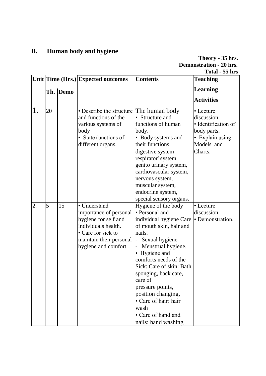# **B. Human body and hygiene**

| Theory - 35 hrs.               |
|--------------------------------|
| <b>Demonstration - 20 hrs.</b> |
| Total - 55 hrs                 |

|    |    |          | Unit Time (Hrs.) Expected outcomes                                                                                                                            | <b>Contents</b>                                                                                                                                                                                                                                                                                                                                                               | <b>Teaching</b>                                                                                            |
|----|----|----------|---------------------------------------------------------------------------------------------------------------------------------------------------------------|-------------------------------------------------------------------------------------------------------------------------------------------------------------------------------------------------------------------------------------------------------------------------------------------------------------------------------------------------------------------------------|------------------------------------------------------------------------------------------------------------|
|    |    | Th. Demo |                                                                                                                                                               |                                                                                                                                                                                                                                                                                                                                                                               | <b>Learning</b>                                                                                            |
|    |    |          |                                                                                                                                                               |                                                                                                                                                                                                                                                                                                                                                                               | <b>Activities</b>                                                                                          |
| 1. | 20 |          | • Describe the structure<br>and functions of the<br>various systems of<br>body<br>• State (unctions of<br>different organs.                                   | The human body<br>Structure and<br>functions of human<br>body.<br>• Body systems and<br>their functions<br>digestive system<br>respirator' system.<br>genito urinary system,<br>cardiovascular system,<br>nervous system,<br>muscular system,<br>endocrine system,<br>special sensory organs.                                                                                 | • Lecture<br>discussion.<br>· Identification of<br>body parts.<br>• Explain using<br>Models and<br>Charts. |
| 2. | 5  | 15       | • Understand<br>importance of personal<br>hygiene for self and<br>individuals health.<br>• Care for sick to<br>maintain their personal<br>hygiene and comfort | Hygiene of the body<br>• Personal and<br>individual hygiene Care<br>of mouth skin, hair and<br>nails.<br>Sexual hygiene<br>Menstrual hygiene.<br>• Hygiene and<br>comforts needs of the<br>Sick: Care of skin: Bath<br>sponging, back care,<br>care of<br>pressure points,<br>position changing,<br>• Care of hair: hair<br>wash<br>• Care of hand and<br>nails: hand washing | • Lecture<br>discussion.<br>• Demonstration.                                                               |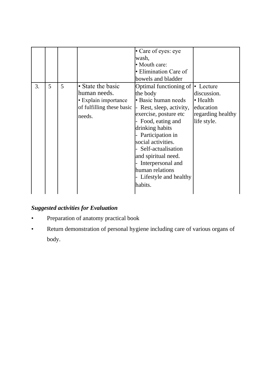| 3. | 5 | 5 | • State the basic                                                           | • Care of eyes: eye<br>wash,<br>• Mouth care:<br>• Elimination Care of<br>bowels and bladder<br>Optimal functioning of                                                                                                                                                                               | • Lecture                                                                |
|----|---|---|-----------------------------------------------------------------------------|------------------------------------------------------------------------------------------------------------------------------------------------------------------------------------------------------------------------------------------------------------------------------------------------------|--------------------------------------------------------------------------|
|    |   |   | human needs.<br>• Explain importance<br>of fulfilling these basic<br>needs. | the body<br>· Basic human needs<br>- Rest, sleep, activity,<br>exercise, posture etc<br>Food, eating and<br>drinking habits<br>- Participation in<br>social activities.<br>- Self-actualisation<br>and spiritual need.<br>Interpersonal and<br>human relations<br>- Lifestyle and healthy<br>habits. | discussion.<br>• Health<br>education<br>regarding healthy<br>life style. |

# *Suggested activities for Evaluation*

- Preparation of anatomy practical book
- Return demonstration of personal hygiene including care of various organs of body.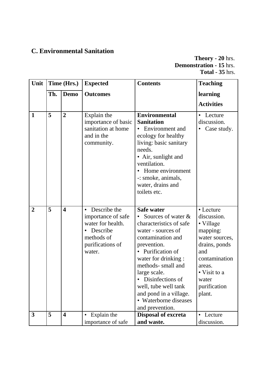# **C. Environmental Sanitation**

**Theory - 20** hrs. **Demonstration - 15** hrs. **Total - 35** hrs.

| Unit           | Time (Hrs.) |                         | <b>Expected</b>                                                                                                                | <b>Contents</b>                                                                                                                                                                                                                                                                                                                   | <b>Teaching</b>                                                                                                                                                           |
|----------------|-------------|-------------------------|--------------------------------------------------------------------------------------------------------------------------------|-----------------------------------------------------------------------------------------------------------------------------------------------------------------------------------------------------------------------------------------------------------------------------------------------------------------------------------|---------------------------------------------------------------------------------------------------------------------------------------------------------------------------|
|                | Th.         | <b>Demo</b>             | <b>Outcomes</b>                                                                                                                |                                                                                                                                                                                                                                                                                                                                   | learning                                                                                                                                                                  |
|                |             |                         |                                                                                                                                |                                                                                                                                                                                                                                                                                                                                   | <b>Activities</b>                                                                                                                                                         |
| $\mathbf{1}$   | 5           | $\overline{2}$          | Explain the<br>importance of basic<br>sanitation at home<br>and in the<br>community.                                           | Environmental<br><b>Sanitation</b><br>• Environment and<br>ecology for healthy<br>living: basic sanitary<br>needs.<br>• Air, sunlight and<br>ventilation.<br>Home environment<br>-: smoke, animals,<br>water, drains and<br>toilets etc.                                                                                          | Lecture<br>discussion.<br>Case study.                                                                                                                                     |
| $\overline{2}$ | 5           | $\overline{\mathbf{4}}$ | Describe the<br>$\bullet$<br>importance of safe<br>water for health.<br>• Describe<br>methods of<br>purifications of<br>water. | <b>Safe water</b><br>Sources of water &<br>characteristics of safe<br>water - sources of<br>contamination and<br>prevention.<br>• Purification of<br>water for drinking :<br>methods- small and<br>large scale.<br>Disinfections of<br>well, tube well tank<br>and pond in a village.<br>• Waterborne diseases<br>and prevention. | • Lecture<br>discussion.<br>• Village<br>mapping:<br>water sources,<br>drains, ponds<br>and<br>contamination<br>areas.<br>• Visit to a<br>water<br>purification<br>plant. |
| $\mathbf{3}$   | 5           | $\overline{\mathbf{4}}$ | Explain the<br>importance of safe                                                                                              | <b>Disposal of excreta</b><br>and waste.                                                                                                                                                                                                                                                                                          | Lecture<br>discussion.                                                                                                                                                    |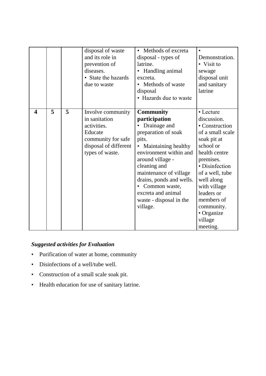|                         |   |   | disposal of waste<br>and its role in<br>prevention of<br>diseases.<br>• State the hazards<br>due to waste                      | Methods of excreta<br>disposal - types of<br>latrine.<br>Handling animal<br>excreta.<br>• Methods of waste<br>disposal<br>• Hazards due to waste                                                                                                                                                                        | Demonstration.<br>• Visit to<br>sewage<br>disposal unit<br>and sanitary<br>latrine                                                                                                                                                                                         |
|-------------------------|---|---|--------------------------------------------------------------------------------------------------------------------------------|-------------------------------------------------------------------------------------------------------------------------------------------------------------------------------------------------------------------------------------------------------------------------------------------------------------------------|----------------------------------------------------------------------------------------------------------------------------------------------------------------------------------------------------------------------------------------------------------------------------|
|                         |   |   |                                                                                                                                |                                                                                                                                                                                                                                                                                                                         |                                                                                                                                                                                                                                                                            |
| $\overline{\mathbf{4}}$ | 5 | 5 | Involve community<br>in sanitation<br>activities.<br>Educate<br>community for safe<br>disposal of different<br>types of waste. | <b>Community</b><br>participation<br>Drainage and<br>preparation of soak<br>pits.<br>Maintaining healthy<br>$\bullet$<br>environment within and<br>around village -<br>cleaning and<br>maintenance of village<br>drains, ponds and wells.<br>Common waste,<br>excreta and animal<br>waste - disposal in the<br>village. | • Lecture<br>discussion.<br>• Construction<br>of a small scale<br>soak pit at<br>school or<br>health centre<br>premises.<br>· Disinfection<br>of a well, tube<br>well along<br>with village<br>leaders or<br>members of<br>community.<br>• Organize<br>village<br>meeting. |

# *Suggested activities for Evaluation*

- Purification of water at home, community
- Disinfections of a well/tube well.
- Construction of a small scale soak pit.
- Health education for use of sanitary latrine.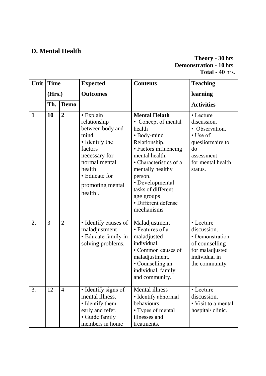# **D. Mental Health**

### **Theory - 30** hrs. **Demonstration - 10** hrs. **Total - 40** hrs.

| Unit         | <b>Time</b> |                | <b>Expected</b>                                                                                                                                                                 | <b>Contents</b>                                                                                                                                                                                                                                                                       | <b>Teaching</b>                                                                                                                |
|--------------|-------------|----------------|---------------------------------------------------------------------------------------------------------------------------------------------------------------------------------|---------------------------------------------------------------------------------------------------------------------------------------------------------------------------------------------------------------------------------------------------------------------------------------|--------------------------------------------------------------------------------------------------------------------------------|
|              | (Hrs.)      |                | <b>Outcomes</b>                                                                                                                                                                 |                                                                                                                                                                                                                                                                                       | learning                                                                                                                       |
|              | Th.         | <b>Demo</b>    |                                                                                                                                                                                 |                                                                                                                                                                                                                                                                                       | <b>Activities</b>                                                                                                              |
| $\mathbf{1}$ | 10          | $\overline{2}$ | · Explain<br>relationship<br>between body and<br>mind.<br>• Identify the<br>factors<br>necessary for<br>normal mental<br>health<br>• Educate for<br>promoting mental<br>health. | <b>Mental Helath</b><br>• Concept of mental<br>health<br>• Body-mind<br>Relationship.<br>• Factors influencing<br>mental health.<br>• Characteristics of a<br>mentally healthy<br>person.<br>• Developmental<br>tasks of different<br>age groups<br>· Different defense<br>mechanisms | • Lecture<br>discussion.<br>• Observation.<br>• Use of<br>quesliormaire to<br>do<br>assessment<br>for mental health<br>status. |
| 2.           | 3           | $\overline{2}$ | • Identify causes of<br>maladjustment<br>• Educate family in<br>solving problems.                                                                                               | Maladjustment<br>• Features of a<br>maladjusted<br>individual.<br>• Common causes of<br>maladjustment.<br>• Counselling an<br>individual, family<br>and community.                                                                                                                    | • Lecture<br>discussion.<br>• Demonstration<br>of counselling<br>for maladjusted<br>individual in<br>the community.            |
| 3.           | 12          | $\overline{4}$ | • Identify signs of<br>mental illness.<br>• Identify them<br>early and refer.<br>• Guide family<br>members in home                                                              | <b>Mental illness</b><br>• Identify abnormal<br>behaviours.<br>• Types of mental<br>illnesses and<br>treatments.                                                                                                                                                                      | • Lecture<br>discussion.<br>• Visit to a mental<br>hospital/ clinic.                                                           |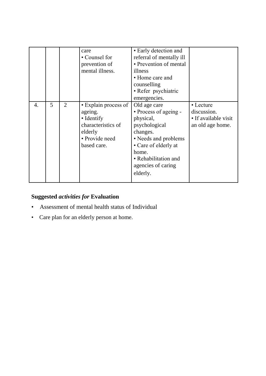|    |   |   | care<br>• Counsel for<br>prevention of<br>mental illness.                                                       | • Early detection and<br>referral of mentally ill<br>• Prevention of mental<br>illness<br>• Home care and<br>counselling<br>• Refer psychiatric<br>emergencies.                                    |                                                                      |
|----|---|---|-----------------------------------------------------------------------------------------------------------------|----------------------------------------------------------------------------------------------------------------------------------------------------------------------------------------------------|----------------------------------------------------------------------|
| 4. | 5 | 2 | • Explain process of<br>ageing.<br>• Identify<br>characteristics of<br>elderly<br>• Provide need<br>based care. | Old age care<br>• Process of ageing -<br>physical,<br>psychological<br>changes.<br>• Needs and problems<br>• Care of elderly at<br>home.<br>• Rehabilitation and<br>agencies of caring<br>elderly. | • Lecture<br>discussion.<br>• If available visit<br>an old age home. |

# **Suggested** *activities for* **Evaluation**

- Assessment of mental health status of Individual
- Care plan for an elderly person at home.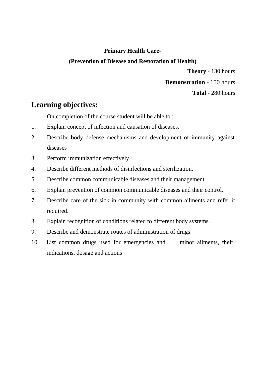### **Primary Health Care-**

### **(Prevention of Disease and Restoration of Health)**

**Theory** - 130 hours **Demonstration** - 150 hours **Total** - 280 hours

# **Learning objectives:**

On completion of the course student will be able to :

- 1. Explain concept of infection and causation of diseases.
- 2. Describe body defense mechanisms and development of immunity against diseases
- 3. Perform immunization effectively.
- 4. Describe different methods of disinfections and sterilization.
- 5. Describe common communicable diseases and their management.
- 6. Explain prevention of common communicable diseases and their control.
- 7. Describe care of the sick in community with common ailments and refer if required.
- 8. Explain recognition of conditions related to different body systems.
- 9. Describe and demonstrate routes of administration of drugs
- 10. List common drugs used for emergencies and minor ailments, their indications, dosage and actions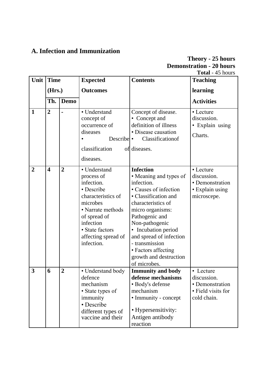# **A. Infection and Immunization**

# **Theory - 25 hours Demonstration - 20 hours Total** - 45 hours

| Unit             | <b>Time</b>             |                | <b>Expected</b>                                                                                                                                                                                    | <b>Contents</b>                                                                                                                                                                                                                                                                                                              | <b>Teaching</b>                                                                  |
|------------------|-------------------------|----------------|----------------------------------------------------------------------------------------------------------------------------------------------------------------------------------------------------|------------------------------------------------------------------------------------------------------------------------------------------------------------------------------------------------------------------------------------------------------------------------------------------------------------------------------|----------------------------------------------------------------------------------|
|                  | (Hrs.)                  |                | <b>Outcomes</b>                                                                                                                                                                                    |                                                                                                                                                                                                                                                                                                                              | learning                                                                         |
|                  | Th.                     | <b>Demo</b>    |                                                                                                                                                                                                    |                                                                                                                                                                                                                                                                                                                              | <b>Activities</b>                                                                |
| $\mathbf{1}$     | $\overline{2}$          |                | • Understand<br>concept of<br>occurrence of<br>diseases<br>Describe<br>classification<br>diseases.                                                                                                 | Concept of disease.<br>• Concept and<br>definition of illness<br>• Disease causation<br>Classificationof<br>$\bullet$<br>of diseases.                                                                                                                                                                                        | • Lecture<br>discussion.<br>• Explain using<br>Charts.                           |
| $\boldsymbol{2}$ | $\overline{\mathbf{4}}$ | $\overline{2}$ | • Understand<br>process of<br>infection.<br>• Describe<br>characteristics of<br>microbes<br>• Narrate methods<br>of spread of<br>infection<br>• State factors<br>affecting spread of<br>infection. | <b>Infection</b><br>• Meaning and types of<br>infection.<br>• Causes of infection<br>• Classification and<br>characteristics of<br>micro organisms:<br>Pathogenic and<br>Non-pathogenic<br>• Incubation period<br>and spread of infection<br>- transmission<br>• Factors affecting<br>growth and destruction<br>of microbes. | • Lecture<br>discussion.<br>• Demonstration<br>• Explain using<br>microscepe.    |
| 3                | 6                       | $\overline{2}$ | • Understand body<br>defence<br>mechanism<br>• State types of<br>immunity<br>• Describe<br>different types of<br>vaccine and their                                                                 | <b>Immunity and body</b><br>defense mechanisms<br>· Body's defense<br>mechanism<br>• Immunity - concept<br>• Hypersensitivity:<br>Antigen antibody<br>reaction                                                                                                                                                               | • Lecture<br>discussion.<br>• Demonstration<br>• Field visits for<br>cold chain. |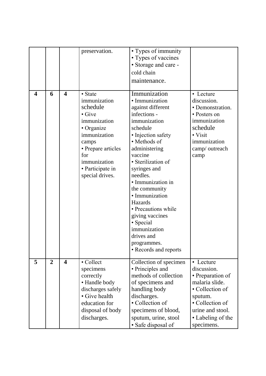|   |                |                         | preservation.      | • Types of immunity<br>• Types of vaccines |                   |
|---|----------------|-------------------------|--------------------|--------------------------------------------|-------------------|
|   |                |                         |                    | • Storage and care -                       |                   |
|   |                |                         |                    | cold chain                                 |                   |
|   |                |                         |                    | maintenance.                               |                   |
|   |                |                         |                    |                                            |                   |
| 4 | 6              | $\overline{\mathbf{4}}$ | • State            | Immunization                               | • Lecture         |
|   |                |                         | immunization       | · Immunization                             | discussion.       |
|   |                |                         | schedule           | against different                          | • Demonstration.  |
|   |                |                         | $\bullet$ Give     | infections -                               | • Posters on      |
|   |                |                         | immunization       | immunization                               | immunization      |
|   |                |                         | • Organize         | schedule                                   | schedule          |
|   |                |                         | immunization       | • Injection safety                         | • Visit           |
|   |                |                         | camps              | • Methods of                               | immunization      |
|   |                |                         | • Prepare articles | administering                              | camp/ outreach    |
|   |                |                         | for                | vaccine                                    | camp              |
|   |                |                         | immunization       | • Sterilization of                         |                   |
|   |                |                         | • Participate in   | syringes and                               |                   |
|   |                |                         | special drives.    | needles.                                   |                   |
|   |                |                         |                    | · Immunization in                          |                   |
|   |                |                         |                    | the community                              |                   |
|   |                |                         |                    | · Immunization                             |                   |
|   |                |                         |                    | Hazards                                    |                   |
|   |                |                         |                    | • Precautions while                        |                   |
|   |                |                         |                    | giving vaccines                            |                   |
|   |                |                         |                    | • Special                                  |                   |
|   |                |                         |                    | immunization<br>drives and                 |                   |
|   |                |                         |                    |                                            |                   |
|   |                |                         |                    | programmes.<br>• Records and reports       |                   |
|   |                |                         |                    |                                            |                   |
| 5 | $\overline{2}$ | $\overline{\mathbf{4}}$ | • Collect          | Collection of specimen                     | • Lecture         |
|   |                |                         | specimens          | • Principles and                           | discussion.       |
|   |                |                         | correctly          | methods of collection                      | • Preparation of  |
|   |                |                         | • Handle body      | of specimens and                           | malaria slide.    |
|   |                |                         | discharges safely  | handling body                              | • Collection of   |
|   |                |                         | • Give health      | discharges.                                | sputum.           |
|   |                |                         | education for      | • Collection of                            | • Collection of   |
|   |                |                         | disposal of body   | specimens of blood,                        | urine and stool.  |
|   |                |                         | discharges.        | sputum, urine, stool                       | • Labeling of the |
|   |                |                         |                    | • Safe disposal of                         | specimens.        |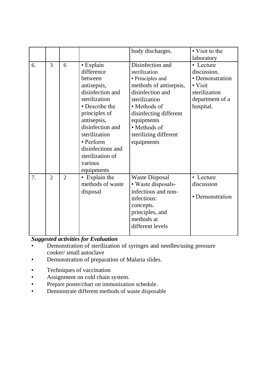|    |                |                |                   | body discharges.       | • Visit to the  |
|----|----------------|----------------|-------------------|------------------------|-----------------|
|    |                |                |                   |                        |                 |
|    |                |                |                   |                        | laboratory      |
| 6. | 3              | 6              | $\bullet$ Explain | Disinfection and       | • Lecture       |
|    |                |                | difference        | sterilization          | discussion.     |
|    |                |                | between           | • Principles and       | • Demonstration |
|    |                |                | antisepsis,       | methods of antisepsis, | $\bullet$ Visit |
|    |                |                | disinfection and  | disinfection and       | sterilization   |
|    |                |                | sterilization     | sterilization          | department of a |
|    |                |                | • Describe the    | • Methods of           | hospital.       |
|    |                |                | principles of     | disinfecting different |                 |
|    |                |                | antisepsis,       | equipments             |                 |
|    |                |                | disinfection and  | • Methods of           |                 |
|    |                |                | sterilization     | sterilizing different  |                 |
|    |                |                | • Perform         | equipments             |                 |
|    |                |                | disinfections and |                        |                 |
|    |                |                | sterilization of  |                        |                 |
|    |                |                | various           |                        |                 |
|    |                |                | equipments        |                        |                 |
| 7. | $\overline{2}$ | $\overline{2}$ | • Explain the     | <b>Waste Disposal</b>  | • Lecture       |
|    |                |                | methods of waste  | • Waste disposals-     | discussion      |
|    |                |                | disposal          | infectious and non-    |                 |
|    |                |                |                   | infectious:            | • Demonstration |
|    |                |                |                   | concepts.              |                 |
|    |                |                |                   | principles, and        |                 |
|    |                |                |                   | methods at             |                 |
|    |                |                |                   | different levels       |                 |
|    |                |                |                   |                        |                 |

- Demonstration of sterilization of syringes and needles/using pressure cooker/ small autoclave
- Demonstration of preparation of Malaria slides.
- Techniques of vaccination
- Assignment on cold chain system.
- Prepare poster/chart on immunization schedule.
- Demonstrate different methods of waste disposable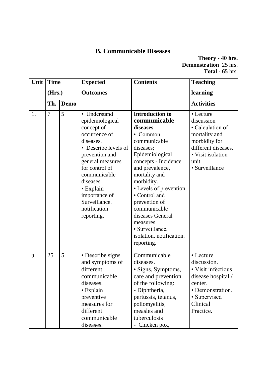# **B. Communicable Diseases**

**Theory - 40 hrs. Demonstration** 25 hrs. **Total - 65** hrs.

| Unit | <b>Time</b> |             | <b>Expected</b>                                                                                                                                                                                                                                                       | <b>Contents</b>                                                                                                                                                                                                                                                                                                                                            | <b>Teaching</b>                                                                                                                                     |
|------|-------------|-------------|-----------------------------------------------------------------------------------------------------------------------------------------------------------------------------------------------------------------------------------------------------------------------|------------------------------------------------------------------------------------------------------------------------------------------------------------------------------------------------------------------------------------------------------------------------------------------------------------------------------------------------------------|-----------------------------------------------------------------------------------------------------------------------------------------------------|
|      | (Hrs.)      |             | <b>Outcomes</b>                                                                                                                                                                                                                                                       |                                                                                                                                                                                                                                                                                                                                                            | learning                                                                                                                                            |
|      | Th.         | <b>Demo</b> |                                                                                                                                                                                                                                                                       |                                                                                                                                                                                                                                                                                                                                                            | <b>Activities</b>                                                                                                                                   |
| 1.   | 7           | 5           | • Understand<br>epidemiological<br>concept of<br>occurrence of<br>diseases.<br>• Describe levels of<br>prevention and<br>general measures<br>for control of<br>communicable<br>diseases.<br>• Explain<br>importance of<br>Surveillance.<br>notification<br>reporting. | Introduction to<br>communicable<br>diseases<br>• Common<br>communicable<br>diseases;<br>Epidemiological<br>concepts - Incidence<br>and prevalence,<br>mortality and<br>morbidity.<br>• Levels of prevention<br>• Control and<br>prevention of<br>communicable<br>diseases General<br>measures<br>· Surveillance,<br>isolation, notification.<br>reporting. | • Lecture<br>discussion<br>• Calculation of<br>mortality and<br>morbidity for<br>different diseases.<br>• Visit isolation<br>unit<br>· Surveillance |
| 9    | 25          | 5           | • Describe signs<br>and symptoms of<br>different<br>communicable<br>diseases.<br>• Explain<br>preventive<br>measures for<br>different<br>communicable<br>diseases.                                                                                                    | Communicable<br>diseases.<br>· Signs, Symptoms,<br>care and prevention<br>of the following:<br>- Diphtheria,<br>pertussis, tetanus,<br>poliomyelitis,<br>measles and<br>tuberculosis<br>- Chicken pox,                                                                                                                                                     | • Lecture<br>discussion.<br>• Visit infectious<br>disease hospital /<br>center.<br>• Demonstration.<br>• Supervised<br>Clinical<br>Practice.        |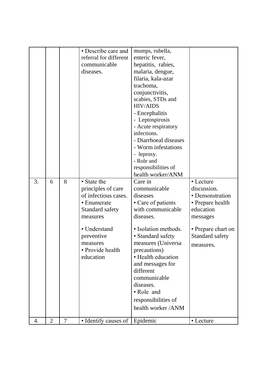|    |                |                | • Describe care and<br>referral for different<br>communicable<br>diseases.                                                                                                         | mumps, rubella,<br>enteric fever,<br>hepatitis, rabies,<br>malaria, dengue,<br>filaria, kala-azar<br>trachoma,<br>conjunctivitis,<br>scabies, STDs and<br><b>HIV/AIDS</b><br>- Encephalitis<br>- Leptospirosis<br>- Acute respiratory<br>infections.<br>- Diarrhoeal diseases<br>- Worm infestations<br>- leprosy.<br>- Role and<br>responsibilities of<br>health worker/ANM |                                                                                                                                                |
|----|----------------|----------------|------------------------------------------------------------------------------------------------------------------------------------------------------------------------------------|------------------------------------------------------------------------------------------------------------------------------------------------------------------------------------------------------------------------------------------------------------------------------------------------------------------------------------------------------------------------------|------------------------------------------------------------------------------------------------------------------------------------------------|
| 3. | 6              | 8              | • State the<br>principles of care<br>of infectious cases.<br>• Enumerate<br>Standard safety<br>measures<br>• Understand<br>preventive<br>measures<br>• Provide health<br>education | Care in<br>communicable<br>diseases<br>• Care of patients<br>with communicable<br>diseases.<br>· Isolation methods.<br>• Standard safety<br>measures (Universa<br>precautions)<br>• Health education<br>and messages for<br>different<br>communicable<br>diseases.<br>• Role and<br>responsibilities of<br>health worker /ANM                                                | • Lecture<br>discussion.<br>• Demonstration<br>• Prepare health<br>education<br>messages<br>• Prepare chart on<br>Standard safety<br>measures. |
| 4. | $\overline{2}$ | $\overline{7}$ | • Identify causes of Epidemic                                                                                                                                                      |                                                                                                                                                                                                                                                                                                                                                                              | • Lecture                                                                                                                                      |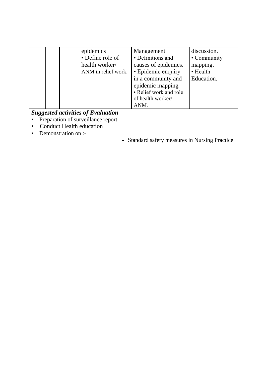| epidemics<br>• Define role of<br>health worker/<br>ANM in relief work. | Management<br>• Definitions and<br>causes of epidemics.<br>• Epidemic enquiry<br>in a community and<br>epidemic mapping<br>• Relief work and role<br>of health worker/ | discussion.<br>• Community<br>mapping.<br>• Health<br>Education. |
|------------------------------------------------------------------------|------------------------------------------------------------------------------------------------------------------------------------------------------------------------|------------------------------------------------------------------|
|                                                                        | ANM.                                                                                                                                                                   |                                                                  |

- Preparation of surveillance report
- Conduct Health education
- Demonstration on :-
- Standard safety measures in Nursing Practice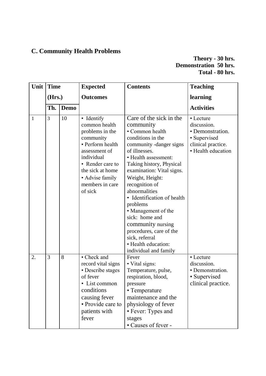# **C. Community Health Problems**

#### **Theory - 30 hrs. Demonstration 50 hrs. Total - 80 hrs.**

| Unit         | <b>Time</b> |             | <b>Expected</b>                                                                                                                                                                                         | <b>Contents</b>                                                                                                                                                                                                                                                                                                                                                                                                                                                      | <b>Teaching</b>                                                                                          |
|--------------|-------------|-------------|---------------------------------------------------------------------------------------------------------------------------------------------------------------------------------------------------------|----------------------------------------------------------------------------------------------------------------------------------------------------------------------------------------------------------------------------------------------------------------------------------------------------------------------------------------------------------------------------------------------------------------------------------------------------------------------|----------------------------------------------------------------------------------------------------------|
|              | (Hrs.)      |             | <b>Outcomes</b>                                                                                                                                                                                         |                                                                                                                                                                                                                                                                                                                                                                                                                                                                      | learning                                                                                                 |
|              | Th.         | <b>Demo</b> |                                                                                                                                                                                                         |                                                                                                                                                                                                                                                                                                                                                                                                                                                                      | <b>Activities</b>                                                                                        |
| $\mathbf{1}$ | 3           | 10          | • Identify<br>common health<br>problems in the<br>community<br>• Perform health<br>assessment of<br>individual<br>• Render care to<br>the sick at home<br>• Advise family<br>members in care<br>of sick | Care of the sick in the<br>community<br>• Common health<br>conditions in the<br>community -danger signs<br>of illnesses.<br>· Health assessment:<br>Taking history, Physical<br>examination: Vital signs.<br>Weight, Height:<br>recognition of<br>abnormalities<br>• Identification of health<br>problems<br>• Management of the<br>sick: home and<br>community nursing<br>procedures, care of the<br>sick, referral<br>• Health education:<br>individual and family | • Lecture<br>discussion.<br>• Demonstration.<br>• Supervised<br>clinical practice.<br>• Health education |
| 2.           | 3           | 8           | • Check and<br>record vital signs<br>• Describe stages<br>of fever<br>• List common<br>conditions<br>causing fever<br>• Provide care to<br>patients with<br>fever                                       | Fever<br>• Vital signs:<br>Temperature, pulse,<br>respiration, blood,<br>pressure<br>• Temperature<br>maintenance and the<br>physiology of fever<br>• Fever: Types and<br>stages<br>• Causes of fever -                                                                                                                                                                                                                                                              | • Lecture<br>discussion.<br>• Demonstration.<br>• Supervised<br>clinical practice.                       |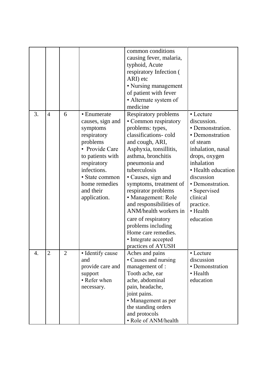|    |                |                |                                                                                                                                                                                                            | common conditions<br>causing fever, malaria,<br>typhoid, Acute<br>respiratory Infection (<br>ARI) etc<br>• Nursing management<br>of patient with fever<br>• Alternate system of<br>medicine                                                                                                                                                                                                                                                                     |                                                                                                                                                                                                                                                           |
|----|----------------|----------------|------------------------------------------------------------------------------------------------------------------------------------------------------------------------------------------------------------|-----------------------------------------------------------------------------------------------------------------------------------------------------------------------------------------------------------------------------------------------------------------------------------------------------------------------------------------------------------------------------------------------------------------------------------------------------------------|-----------------------------------------------------------------------------------------------------------------------------------------------------------------------------------------------------------------------------------------------------------|
| 3. | $\overline{4}$ | 6              | • Enumerate<br>causes, sign and<br>symptoms<br>respiratory<br>problems<br>• Provide Care<br>to patients with<br>respiratory<br>infections.<br>• State common<br>home remedies<br>and their<br>application. | Respiratory problems<br>• Common respiratory<br>problems: types,<br>classifications-cold<br>and cough, ARI,<br>Asphyxia, tonsillitis,<br>asthma, bronchitis<br>pneumonia and<br>tuberculosis<br>• Causes, sign and<br>symptoms, treatment of<br>respirator problems<br>• Management: Role<br>and responsibilities of<br>ANM/health workers in<br>care of respiratory<br>problems including<br>Home care remedies.<br>• Integrate accepted<br>practices of AYUSH | • Lecture<br>discussion.<br>· Demonstration.<br>• Demonstration<br>of steam<br>inhalation, nasal<br>drops, oxygen<br>inhalation<br>• Health education<br>discussion<br>· Demonstration.<br>• Supervised<br>clinical<br>practice.<br>• Health<br>education |
| 4. | $2 -$          | $\overline{2}$ | • Identify cause<br>and<br>provide care and<br>support<br>• Refer when<br>necessary.                                                                                                                       | Aches and pains<br>• Causes and nursing<br>management of :<br>Tooth ache, ear<br>ache, abdominal<br>pain, headache,<br>joint pains.<br>• Management as per<br>the standing orders<br>and protocols<br>• Role of ANM/health                                                                                                                                                                                                                                      | • Lecture<br>discussion<br>• Demonstration<br>• Health<br>education                                                                                                                                                                                       |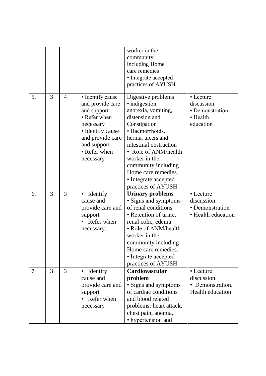|    |   |                |                       | worker in the           |                         |
|----|---|----------------|-----------------------|-------------------------|-------------------------|
|    |   |                |                       | community               |                         |
|    |   |                |                       | including Home          |                         |
|    |   |                |                       | care remedies           |                         |
|    |   |                |                       | • Integrate accepted    |                         |
|    |   |                |                       | practices of AYUSH      |                         |
| 5. | 3 | $\overline{4}$ | • Identify cause      | Digestive problems      | • Lecture               |
|    |   |                | and provide care      | · indigestion.          | discussion.             |
|    |   |                | and support           | anorexia, vomiting,     | • Demonstration.        |
|    |   |                | • Refer when          | distension and          | • Health                |
|    |   |                | necessary             | Constipation            | education               |
|    |   |                | • Identify cause      | · Haemorrhoids.         |                         |
|    |   |                | and provide care      | hernia, ulcers and      |                         |
|    |   |                | and support           | intestinal obstruction  |                         |
|    |   |                | • Refer when          | • Role of ANM/health    |                         |
|    |   |                | necessary             | worker in the           |                         |
|    |   |                |                       | community including     |                         |
|    |   |                |                       | Home care remedies.     |                         |
|    |   |                |                       | • Integrate accepted    |                         |
|    |   |                |                       | practices of AYUSH      |                         |
| 6. | 3 | 3              | Identify              | <b>Urinary problems</b> | • Lecture               |
|    |   |                | cause and             | · Signs and symptoms    | discussion.             |
|    |   |                | provide care and      | of renal conditions     | • Demonstration         |
|    |   |                | support               | • Retention of urine,   | • Health education      |
|    |   |                | • Refer when          | renal colic, edema      |                         |
|    |   |                | necessary.            | • Role of ANM/health    |                         |
|    |   |                |                       | worker in the           |                         |
|    |   |                |                       | community including     |                         |
|    |   |                |                       | Home care remedies.     |                         |
|    |   |                |                       | • Integrate accepted    |                         |
|    |   |                |                       | practices of AYUSH      |                         |
| 7  | 3 | 3              | Identify<br>$\bullet$ | Cardiovascular          | • Lecture               |
|    |   |                | cause and             | problem                 | discussion.             |
|    |   |                | provide care and      | • Signs and symptoms    | • Demonstration.        |
|    |   |                | support               | of cardiac conditions   | <b>Health education</b> |
|    |   |                | • Refer when          | and blood related       |                         |
|    |   |                | necessary             | problems: heart attack, |                         |
|    |   |                |                       | chest pain, anemia,     |                         |
|    |   |                |                       | • hypertension and      |                         |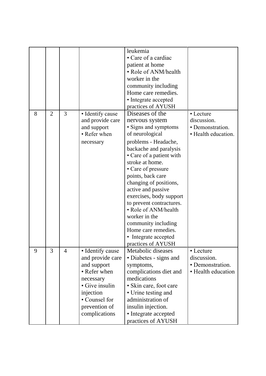|   |                |                |                  | leukemia                 |                     |
|---|----------------|----------------|------------------|--------------------------|---------------------|
|   |                |                |                  | • Care of a cardiac      |                     |
|   |                |                |                  | patient at home          |                     |
|   |                |                |                  | • Role of ANM/health     |                     |
|   |                |                |                  | worker in the            |                     |
|   |                |                |                  | community including      |                     |
|   |                |                |                  | Home care remedies.      |                     |
|   |                |                |                  | • Integrate accepted     |                     |
|   |                |                |                  | practices of AYUSH       |                     |
| 8 | $\overline{2}$ | 3              | • Identify cause | Diseases of the          | • Lecture           |
|   |                |                | and provide care | nervous system           | discussion.         |
|   |                |                | and support      | • Signs and symptoms     | • Demonstration.    |
|   |                |                | • Refer when     | of neurological          | • Health education. |
|   |                |                | necessary        | problems - Headache,     |                     |
|   |                |                |                  | backache and paralysis   |                     |
|   |                |                |                  | • Care of a patient with |                     |
|   |                |                |                  | stroke at home.          |                     |
|   |                |                |                  | • Care of pressure       |                     |
|   |                |                |                  | points, back care        |                     |
|   |                |                |                  | changing of positions,   |                     |
|   |                |                |                  | active and passive       |                     |
|   |                |                |                  | exercises, body support  |                     |
|   |                |                |                  | to prevent contractures. |                     |
|   |                |                |                  | • Role of ANM/health     |                     |
|   |                |                |                  | worker in the            |                     |
|   |                |                |                  | community including      |                     |
|   |                |                |                  | Home care remedies.      |                     |
|   |                |                |                  | • Integrate accepted     |                     |
|   |                |                |                  | practices of AYUSH       |                     |
| 9 | 3              | $\overline{4}$ | • Identify cause | Metabolic diseases       | • Lecture           |
|   |                |                | and provide care | • Diabetes - signs and   | discussion.         |
|   |                |                | and support      | symptoms,                | • Demonstration.    |
|   |                |                | • Refer when     | complications diet and   | • Health education  |
|   |                |                | necessary        | medications              |                     |
|   |                |                | • Give insulin   | • Skin care, foot care   |                     |
|   |                |                | injection        | • Urine testing and      |                     |
|   |                |                | • Counsel for    | administration of        |                     |
|   |                |                | prevention of    | insulin injection.       |                     |
|   |                |                | complications    | • Integrate accepted     |                     |
|   |                |                |                  | practices of AYUSH       |                     |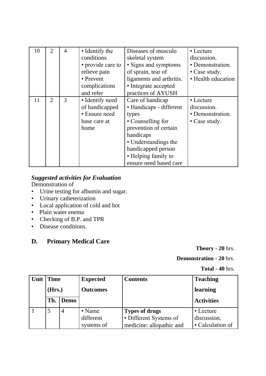| 10 | 2 | $\overline{4}$ | • Identify the    | Diseases of musculo      | • Lecture          |
|----|---|----------------|-------------------|--------------------------|--------------------|
|    |   |                | conditions        | skeletal system          | discussion.        |
|    |   |                | • provide care to | • Signs and symptoms     | • Demonstration.   |
|    |   |                | relieve pain      | of sprain, tear of       | • Case study.      |
|    |   |                | • Prevent         | ligaments and arthritis. | • Health education |
|    |   |                | complications     | • Integrate accepted     |                    |
|    |   |                | and refer         | practices of AYUSH       |                    |
| 11 | 2 | 3              | • Identify need   | Care of handicap         | • Lecture          |
|    |   |                | of handicapped    | · Handicaps - different  | discussion.        |
|    |   |                | • Ensure need     | types                    | • Demonstration.   |
|    |   |                | base care at      | • Counselling for        | • Case study.      |
|    |   |                | home              | prevention of certain    |                    |
|    |   |                |                   | handicaps                |                    |
|    |   |                |                   | • Understandings the     |                    |
|    |   |                |                   | handicapped person       |                    |
|    |   |                |                   | • Helping family to      |                    |
|    |   |                |                   | ensure need based care   |                    |

Demonstration of

- Urine testing for albumin and sugar.
- Urinary catheterization
- Local application of cold and hot
- Plain water enema
- Checking of B.P. and TPR
- Disease conditions.

## **D. Primary Medical Care**

**Theory - 20** hrs.

#### **Demonstration - 20** hrs.

**Total - 40** hrs.

| Unit Time |                | <b>Expected</b>                           | <b>Contents</b>                                                      | <b>Teaching</b>                              |
|-----------|----------------|-------------------------------------------|----------------------------------------------------------------------|----------------------------------------------|
| (Hrs.)    |                | <b>Outcomes</b>                           |                                                                      | learning                                     |
| Th.       | Demo           |                                           |                                                                      | <b>Activities</b>                            |
| 5         | $\overline{4}$ | $\bullet$ Name<br>different<br>systems of | Types of drugs<br>• Different Systems of<br>medicine: allopathic and | • Lecture<br>discussion.<br>• Calculation of |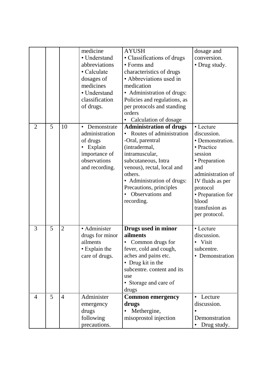|                |   |                | medicine             | <b>AYUSH</b>                   | dosage and           |
|----------------|---|----------------|----------------------|--------------------------------|----------------------|
|                |   |                | • Understand         | • Classifications of drugs     | conversion.          |
|                |   |                | abbreviations        | • Forms and                    | • Drug study.        |
|                |   |                | • Calculate          | characteristics of drugs       |                      |
|                |   |                | dosages of           | • Abbreviations used in        |                      |
|                |   |                | medicines            | medication                     |                      |
|                |   |                | • Understand         | • Administration of drugs:     |                      |
|                |   |                | classification       | Policies and regulations, as   |                      |
|                |   |                | of drugs.            | per protocols and standing     |                      |
|                |   |                |                      | orders                         |                      |
|                |   |                |                      | Calculation of dosage          |                      |
| $\overline{2}$ | 5 | 10             | Demonstrate          | <b>Administration of drugs</b> | • Lecture            |
|                |   |                | administration       | Routes of administration       | discussion.          |
|                |   |                | of drugs             | -Oral, parentral               | • Demonstration.     |
|                |   |                | Explain<br>$\bullet$ | (intradermal,                  | • Practice           |
|                |   |                | importance of        | intramuscular,                 | session              |
|                |   |                | observations         | subcutaneous, Intra            | • Preparation        |
|                |   |                | and recording.       | venous), rectal, local and     | and                  |
|                |   |                |                      | others.                        | administration of    |
|                |   |                |                      | • Administration of drugs:     | IV fluids as per     |
|                |   |                |                      | Precautions, principles        | protocol             |
|                |   |                |                      | Observations and               | • Preparation for    |
|                |   |                |                      | recording.                     | blood                |
|                |   |                |                      |                                | transfusion as       |
|                |   |                |                      |                                | per protocol.        |
|                |   |                |                      |                                |                      |
| 3              | 5 | $\overline{2}$ | · Administer         | Drugs used in minor            | • Lecture            |
|                |   |                | drugs for minor      | ailments                       | discussion.          |
|                |   |                | ailments             | Common drugs for<br>٠          | Visit<br>$\bullet$   |
|                |   |                | • Explain the        | fever, cold and cough,         | subcentre.           |
|                |   |                | care of drugs.       | aches and pains etc.           | Demonstration        |
|                |   |                |                      | • Drug kit in the              |                      |
|                |   |                |                      | subcentre. content and its     |                      |
|                |   |                |                      | use                            |                      |
|                |   |                |                      | • Storage and care of          |                      |
|                |   |                |                      | drugs                          |                      |
| 4              | 5 | $\overline{4}$ | Administer           | <b>Common emergency</b>        | Lecture<br>$\bullet$ |
|                |   |                | emergency            | drugs                          | discussion.          |
|                |   |                | drugs                | Methergine,                    |                      |
|                |   |                | following            | misoprostol injection          | Demonstration        |
|                |   |                | precautions.         |                                | Drug study.          |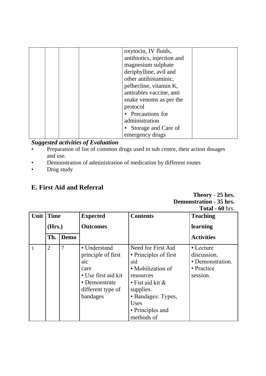|  | oxytocin, IV fluids,       |  |
|--|----------------------------|--|
|  | antibiotics, injection and |  |
|  | magnesium sulphate         |  |
|  | deriphylline, avil and     |  |
|  | other antihistaminic,      |  |
|  | pelhecline, vitamin K,     |  |
|  | antirabies vaccine, anti   |  |
|  | snake venoms as per the    |  |
|  | protocol                   |  |
|  | • Precautions for          |  |
|  | administration             |  |
|  | • Storage and Care of      |  |
|  | emergency drugs            |  |

- Preparation of list of common drugs used in sub centre, their action dosages and use.
- Demonstration of administration of medication by different routes
- Drug study

## **E. First Aid and Referral**

| Theory - 25 hrs.               |
|--------------------------------|
| <b>Demonstration - 35 hrs.</b> |
| <b>Total - 60</b> hrs.         |

|      |                |      |                                                                                                                            |                                                                                                                                                                                             | 1 0 tai = 00 m s.                                                            |
|------|----------------|------|----------------------------------------------------------------------------------------------------------------------------|---------------------------------------------------------------------------------------------------------------------------------------------------------------------------------------------|------------------------------------------------------------------------------|
| Unit | <b>Time</b>    |      | <b>Expected</b>                                                                                                            | <b>Contents</b>                                                                                                                                                                             | <b>Teaching</b>                                                              |
|      | (Hrs.)         |      | <b>Outcomes</b>                                                                                                            |                                                                                                                                                                                             | learning                                                                     |
|      | Th.            | Demo |                                                                                                                            |                                                                                                                                                                                             | <b>Activities</b>                                                            |
| 1    | $\overline{2}$ | 7    | • Understand<br>principle of first<br>aic<br>care<br>• Use first aid kit<br>• Demonstrate<br>different type of<br>bandages | Need for First Aid<br>• Principles of first<br>aid<br>• Mobilization of<br>resources<br>$\cdot$ Fist aid kit &<br>supplies.<br>• Bandages: Types,<br>Uses<br>• Principles and<br>methods of | $\cdot$ Lecture<br>discussion.<br>• Demonstration.<br>• Practice<br>session. |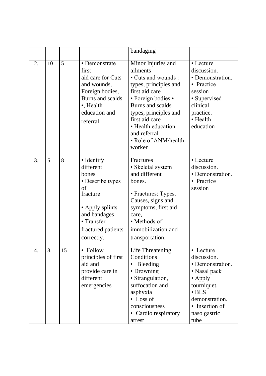|    |    |    |                                                                                                                                                             | bandaging                                                                                                                                                                                                                                                    |                                                                                                                                                                   |
|----|----|----|-------------------------------------------------------------------------------------------------------------------------------------------------------------|--------------------------------------------------------------------------------------------------------------------------------------------------------------------------------------------------------------------------------------------------------------|-------------------------------------------------------------------------------------------------------------------------------------------------------------------|
| 2. | 10 | 5  | • Demonstrate<br>first<br>aid care for Cuts<br>and wounds,<br>Foreign bodies,<br>Burns and scalds<br>•, Health<br>education and<br>referral                 | Minor Injuries and<br>ailments<br>• Cuts and wounds:<br>types, principles and<br>first aid care<br>• Foreign bodies •<br>Burns and scalds<br>types, principles and<br>first aid care<br>• Health education<br>and referral<br>• Role of ANM/health<br>worker | • Lecture<br>discussion.<br>• Demonstration.<br>• Practice<br>session<br>• Supervised<br>clinical<br>practice.<br>• Health<br>education                           |
| 3. | 5  | 8  | • Identify<br>different<br>bones<br>• Describe types<br>of<br>fracture<br>• Apply splints<br>and bandages<br>• Transfer<br>fractured patients<br>correctly. | Fractures<br>• Skeletal system<br>and different<br>bones.<br>• Fractures: Types.<br>Causes, signs and<br>symptoms, first aid<br>care,<br>• Methods of<br>immobilization and<br>transportation.                                                               | • Lecture<br>discussion.<br>• Demonstration.<br>• Practice<br>session                                                                                             |
| 4. | 8. | 15 | • Follow<br>principles of first<br>aid and<br>provide care in<br>different<br>emergencies                                                                   | Life Threatening<br>Conditions<br><b>Bleeding</b><br>• Drowning<br>· Strangulation,<br>suffocation and<br>asphyxia<br>• Loss of<br>consciousness<br>• Cardio respiratory<br>arrest                                                                           | • Lecture<br>discussion.<br>• Demonstration.<br>• Nasal pack<br>• Apply<br>tourniquet.<br>$\cdot$ BLS<br>demonstration.<br>• Insertion of<br>naso gastric<br>tube |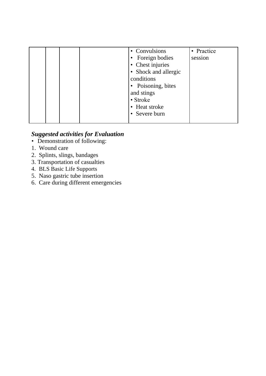|  | • Convulsions<br>Foreign bodies<br>Chest injuries<br>Shock and allergic<br>conditions | • Practice<br>session |
|--|---------------------------------------------------------------------------------------|-----------------------|
|  | Poisoning, bites<br>and stings<br>• Stroke<br>Heat stroke<br>Severe burn              |                       |

- *•* Demonstration of following:
- 1. Wound care
- 2. Splints, slings, bandages
- 3. Transportation of casualties
- 4. BLS Basic Life Supports
- 5. Naso gastric tube insertion
- 6. Care during different emergencies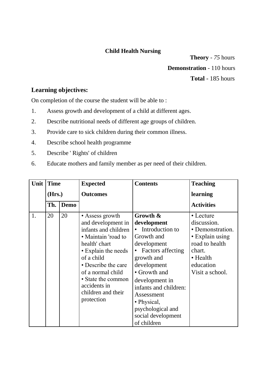### **Child Health Nursing**

**Theory** - *75* hours **Demonstration** - 110 hours **Total** - 185 hours

### **Learning objectives:**

On completion of the course the student will be able to :

- 1. Assess growth and development of a child at different ages.
- 2. Describe nutritional needs of different age groups of children.
- 3. Provide care to sick children during their common illness.
- 4. Describe school health programme
- 5. Describe ' Rights' of children
- 6. Educate mothers and family member as per need of their children.

| Unit | <b>Time</b> |             | <b>Expected</b>                                                                                                                                                                                                                                                  | <b>Contents</b>                                                                                                                                                                                                                                                                    | <b>Teaching</b>                                                                                                                         |
|------|-------------|-------------|------------------------------------------------------------------------------------------------------------------------------------------------------------------------------------------------------------------------------------------------------------------|------------------------------------------------------------------------------------------------------------------------------------------------------------------------------------------------------------------------------------------------------------------------------------|-----------------------------------------------------------------------------------------------------------------------------------------|
|      | (Hrs.)      |             | <b>Outcomes</b>                                                                                                                                                                                                                                                  |                                                                                                                                                                                                                                                                                    | learning                                                                                                                                |
|      | Th.         | <b>Demo</b> |                                                                                                                                                                                                                                                                  |                                                                                                                                                                                                                                                                                    | <b>Activities</b>                                                                                                                       |
| 1.   | 20          | 20          | • Assess growth<br>and development in<br>infants and children<br>• Maintain 'road to<br>health' chart<br>• Explain the needs<br>of a child<br>• Describe the care<br>of a normal child<br>• State the common<br>accidents in<br>children and their<br>protection | Growth &<br>development<br>Introduction to<br>Growth and<br>development<br><b>Factors affecting</b><br>growth and<br>development<br>• Growth and<br>development in<br>infants and children:<br>Assessment<br>• Physical,<br>psychological and<br>social development<br>of children | • Lecture<br>discussion.<br>• Demonstration.<br>• Explain using<br>road to health<br>chart.<br>• Health<br>education<br>Visit a school. |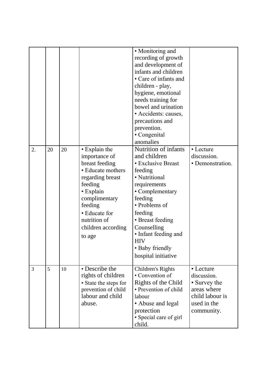|    |    |    |                                                                                                                                                                                                                | • Monitoring and<br>recording of growth<br>and development of<br>infants and children<br>• Care of infants and<br>children - play,<br>hygiene, emotional<br>needs training for<br>bowel and urination<br>· Accidents: causes,<br>precautions and<br>prevention.<br>• Congenital<br>anomalies |                                                                                                         |
|----|----|----|----------------------------------------------------------------------------------------------------------------------------------------------------------------------------------------------------------------|----------------------------------------------------------------------------------------------------------------------------------------------------------------------------------------------------------------------------------------------------------------------------------------------|---------------------------------------------------------------------------------------------------------|
| 2. | 20 | 20 | • Explain the<br>importance of<br>breast feeding<br>• Educate mothers<br>regarding breast<br>feeding<br>• Explain<br>complimentary<br>feeding<br>• Educate for<br>nutrition of<br>children according<br>to age | Nutrition of infants<br>and children<br>• Exclusive Breast<br>feeding<br>• Nutritional<br>requirements<br>• Complementary<br>feeding<br>• Problems of<br>feeding<br>• Breast feeding<br>Counselling<br>• Infant feeding and<br><b>HIV</b><br>• Baby friendly<br>hospital initiative          | • Lecture<br>discussion.<br>• Demonstration.                                                            |
| 3  | 5  | 10 | • Describe the<br>rights of children<br>• State the steps for<br>prevention of child<br>labour and child<br>abuse.                                                                                             | Children's Rights<br>• Convention of<br>Rights of the Child<br>• Prevention of child<br>labour<br>• Abuse and legal<br>protection<br>· Special care of girl<br>child.                                                                                                                        | • Lecture<br>discussion.<br>• Survey the<br>areas where<br>child labour is<br>used in the<br>community. |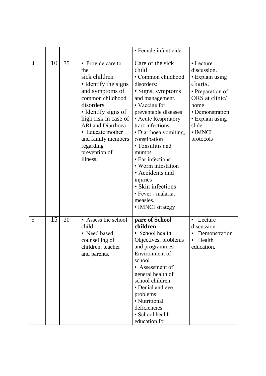|    |                 |    |                                                                                                                                                                                                                                                                                      | · Female infanticide                                                                                                                                                                                                                                                                                                                                                                                                 |                                                                                                                                                                               |
|----|-----------------|----|--------------------------------------------------------------------------------------------------------------------------------------------------------------------------------------------------------------------------------------------------------------------------------------|----------------------------------------------------------------------------------------------------------------------------------------------------------------------------------------------------------------------------------------------------------------------------------------------------------------------------------------------------------------------------------------------------------------------|-------------------------------------------------------------------------------------------------------------------------------------------------------------------------------|
| 4. | 10              | 35 | • Provide care to<br>the<br>sick children<br>• Identify the signs<br>and symptoms of<br>common childhood<br>disorders<br>• Identify signs of<br>high risk in case of<br><b>ARI</b> and Diarrhoea<br>• Educate mother<br>and family members<br>regarding<br>prevention of<br>illness. | Care of the sick<br>child<br>• Common childhood<br>disorders:<br>• Signs, symptoms<br>and management.<br>• Vaccine for<br>preventable diseases<br>• Acute Respiratory<br>tract infections<br>· Diarrhoea vomiting,<br>constipation<br>• Tonsillitis and<br>mumps<br>• Ear infections<br>• Worm infestation<br>• Accidents and<br>injuries<br>• Skin infections<br>· Fever - malaria,<br>measles.<br>• IMNCI strategy | • Lecture<br>discussion.<br>• Explain using<br>charts.<br>• Preparation of<br>ORS at clinic/<br>home<br>• Demonstration.<br>• Explain using<br>slide.<br>• IMNCI<br>protocols |
| 5  | $\overline{15}$ | 20 | • Assess the school<br>child<br>• Need based<br>counselling of<br>children, teacher<br>and parents.                                                                                                                                                                                  | pare of School<br>children<br>• School health:<br>Objectives, problems<br>and programmes<br>Environment of<br>school<br>• Assessment of<br>general health of<br>school children<br>• Denial and eye<br>problems<br>· Nutritional<br>deficiencies<br>· School health<br>education for                                                                                                                                 | Lecture<br>discussion.<br>Demonstration<br>Health<br>education.                                                                                                               |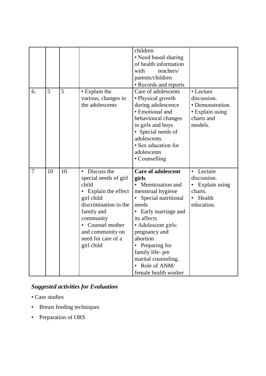| 6.             | 5  | 5  | • Explain the<br>various, changes in<br>the adolescents                                                                                                                                                                                   | children<br>• Need based sharing<br>of health information<br>with<br>teachers/<br>parents/children<br>• Records and reports<br>Care of adolescents<br>• Physical growth<br>during adolescence<br>• Emotional and<br>behavioural changes<br>in girls and boys<br>• Special needs of<br>adolescents.<br>• Sex education for<br>adolescents<br>• Counselling | • Lecture<br>discussion.<br>• Demonstration.<br>• Explain using<br>charts and<br>models.                  |
|----------------|----|----|-------------------------------------------------------------------------------------------------------------------------------------------------------------------------------------------------------------------------------------------|-----------------------------------------------------------------------------------------------------------------------------------------------------------------------------------------------------------------------------------------------------------------------------------------------------------------------------------------------------------|-----------------------------------------------------------------------------------------------------------|
| $\overline{7}$ | 10 | 10 | Discuss the<br>$\bullet$<br>special needs of girl<br>child<br>Explain the effect<br>$\bullet$<br>girl child<br>discrimination in the<br>family and<br>community<br>Counsel mother<br>and community on<br>need for care of a<br>girl child | <b>Care of adolescent</b><br>girls<br>• Menstruation and<br>menstrual hygiene<br>Special nutritional<br>needs<br>Early marriage and<br>its affects<br>• Adolescent girls:<br>pregnancy and<br>abortion<br>• Preparing for<br>family life- pre<br>marital counseling.<br>Role of ANM/<br>female health worker                                              | Lecture<br>$\bullet$<br>discussion.<br>Explain using<br>٠<br>charts.<br>Health<br>$\bullet$<br>education. |

- Case studies
- Breast feeding techniques
- Preparation of ORS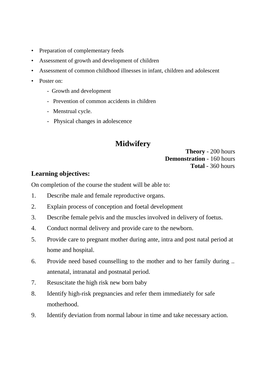- Preparation of complementary feeds
- Assessment of growth and development of children
- Assessment of common childhood illnesses in infant, children and adolescent
- Poster on:
	- Growth and development
	- Prevention of common accidents in children
	- Menstrual cycle.
	- Physical changes in adolescence

# **Midwifery**

### **Theory** - 200 hours **Demonstration** - 160 hours **Total** - 360 hours

## **Learning objectives:**

On completion of the course the student will be able to:

- 1. Describe male and female reproductive organs.
- 2. Explain process of conception and foetal development
- 3. Describe female pelvis and the muscles involved in delivery of foetus.
- 4. Conduct normal delivery and provide care to the newborn.
- 5. Provide care to pregnant mother during ante, intra and post natal period at home and hospital.
- 6. Provide need based counselling to the mother and to her family during .. antenatal, intranatal and postnatal period.
- 7. Resuscitate the high risk new born baby
- 8. Identify high-risk pregnancies and refer them immediately for safe motherhood.
- 9. Identify deviation from normal labour in time and take necessary action.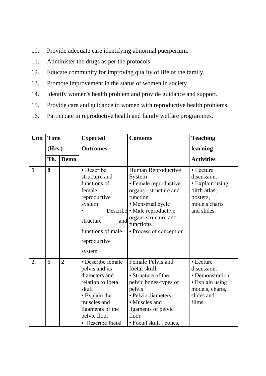- 10. Provide adequate care identifying abnormal puerperium.
- 11. Administer the drugs as per the protocols
- 12. Educate community for improving quality of life of the family.
- 13. Promote improvement in the status of women in society
- 14. Identify women's health problem and provide guidance and support.
- 15. Provide care and guidance to women with reproductive health problems.
- 16. Participate in reproductive health and family welfare programmes.

| Unit | <b>Time</b> |                | <b>Expected</b>                                                                                                                                                              | <b>Contents</b>                                                                                                                                                                                                  | <b>Teaching</b>                                                                                            |
|------|-------------|----------------|------------------------------------------------------------------------------------------------------------------------------------------------------------------------------|------------------------------------------------------------------------------------------------------------------------------------------------------------------------------------------------------------------|------------------------------------------------------------------------------------------------------------|
|      | (Hrs.)      |                | <b>Outcomes</b>                                                                                                                                                              |                                                                                                                                                                                                                  | learning                                                                                                   |
|      | Th.         | <b>Demo</b>    |                                                                                                                                                                              |                                                                                                                                                                                                                  | <b>Activities</b>                                                                                          |
| 1    | 8           |                | • Describe<br>structure and<br>functions of<br>female<br>reproductive<br>system<br>and<br>structure<br>functions of male<br>reproductive<br>system                           | Human Reproductive<br>System<br>• Female reproductive<br>organs - structure and<br>function<br>• Menstrual cycle<br>Describe • Male reproductive<br>organs structure and<br>functions<br>• Process of conception | • Lecture<br>discussion.<br>· Explain using<br>birth atlas,<br>posters,<br>models charts<br>and slides.    |
| 2.   | 6           | $\overline{2}$ | · Describe female<br>pelvis and its<br>diameters and<br>relation to foetal<br>skull<br>• Explain the<br>muscles and<br>ligaments of the<br>pelvic floor<br>• Describe foetal | Female Pelvis and<br>foetal skull<br>• Structure of the<br>pelvic bones-types of<br>pelvis<br>· Pelvic diameters<br>• Muscles and<br>ligaments of pelvic<br>floor<br>• Foetal skull : bones,                     | • Lecture<br>discussion.<br>• Demonstration.<br>• Explain using<br>models, charts,<br>slides and<br>films. |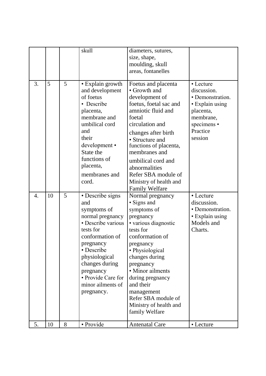|                  |    |   | skull                                                                                                                                                                                                                                                | diameters, sutures,<br>size, shape,<br>moulding, skull<br>areas, fontanelles                                                                                                                                                                                                                                                             |                                                                                                                                 |
|------------------|----|---|------------------------------------------------------------------------------------------------------------------------------------------------------------------------------------------------------------------------------------------------------|------------------------------------------------------------------------------------------------------------------------------------------------------------------------------------------------------------------------------------------------------------------------------------------------------------------------------------------|---------------------------------------------------------------------------------------------------------------------------------|
| 3.               | 5  | 5 | • Explain growth<br>and development<br>of foetus<br>• Describe<br>placenta,<br>membrane and<br>umbilical cord<br>and<br>their<br>development •<br>State the<br>functions of<br>placenta,<br>membranes and<br>cord.                                   | Foetus and placenta<br>• Growth and<br>development of<br>foetus, foetal sac and<br>amniotic fluid and<br>foetal<br>circulation and<br>changes after birth<br>• Structure and<br>functions of placenta,<br>membranes and<br>umbilical cord and<br>abnormalities<br>Refer SBA module of<br>Ministry of health and<br><b>Family Welfare</b> | • Lecture<br>discussion.<br>• Demonstration.<br>• Explain using<br>placenta,<br>membrane,<br>specimens •<br>Practice<br>session |
| $\overline{4}$ . | 10 | 5 | • Describe signs<br>and<br>symptoms of<br>normal pregnancy<br>· Describe various<br>tests for<br>conformation of<br>pregnancy<br>• Describe<br>physiological<br>changes during<br>pregnancy<br>• Provide Care for<br>minor ailments of<br>pregnancy. | Normal pregnancy<br>· Signs and<br>symptoms of<br>pregnancy<br>· various diagnostic<br>tests for<br>conformation of<br>pregnancy<br>• Physiological<br>changes during<br>pregnancy<br>• Minor ailments<br>during pregnancy<br>and their<br>management<br>Refer SBA module of<br>Ministry of health and<br>family Welfare                 | • Lecture<br>discussion.<br>• Demonstration.<br>• Explain using<br>Models and<br>Charts.                                        |
| 5.               | 10 | 8 | · Provide                                                                                                                                                                                                                                            | <b>Antenatal Care</b>                                                                                                                                                                                                                                                                                                                    | • Lecture                                                                                                                       |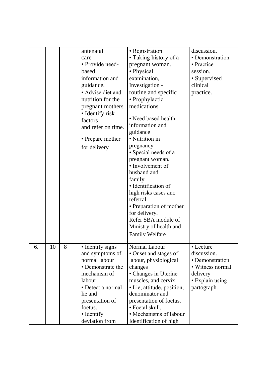|    |    |   | antenatal<br>care<br>• Provide need-<br>based<br>information and<br>guidance.<br>• Advise diet and<br>nutrition for the<br>pregnant mothers<br>• Identify risk<br>factors<br>and refer on time.<br>• Prepare mother<br>for delivery | • Registration<br>• Taking history of a<br>pregnant woman.<br>• Physical<br>examination,<br>Investigation -<br>routine and specific<br>• Prophylactic<br>medications<br>• Need based health<br>information and<br>guidance<br>• Nutrition in<br>pregnancy<br>• Special needs of a<br>pregnant woman.<br>• Involvement of<br>husband and<br>family.<br>· Identification of<br>high risks cases and<br>referral<br>• Preparation of mother<br>for delivery.<br>Refer SBA module of<br>Ministry of health and<br><b>Family Welfare</b> | discussion.<br>· Demonstration.<br>• Practice<br>session.<br>• Supervised<br>clinical<br>practice.            |
|----|----|---|-------------------------------------------------------------------------------------------------------------------------------------------------------------------------------------------------------------------------------------|-------------------------------------------------------------------------------------------------------------------------------------------------------------------------------------------------------------------------------------------------------------------------------------------------------------------------------------------------------------------------------------------------------------------------------------------------------------------------------------------------------------------------------------|---------------------------------------------------------------------------------------------------------------|
| 6. | 10 | 8 | • Identify signs<br>and symptoms of<br>normal labour<br>• Demonstrate the<br>mechanism of<br>labour<br>• Detect a normal<br>lie and<br>presentation of<br>foetus.<br>• Identify<br>deviation from                                   | Normal Labour<br>• Onset and stages of<br>labour, physiological<br>changes<br>• Changes in Uterine<br>muscles, and cervix<br>• Lie, attitude, position,<br>denominator and<br>presentation of foetus.<br>• Foetal skull,<br>• Mechanisms of labour<br>Identification of high                                                                                                                                                                                                                                                        | • Lecture<br>discussion.<br>• Demonstration<br>• Witness normal<br>delivery<br>• Explain using<br>partograph. |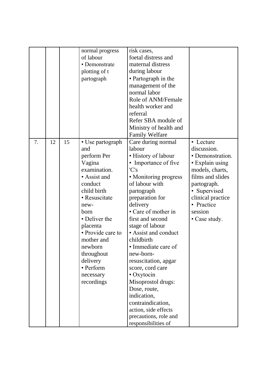|    |    |    | normal progress   | risk cases,            |                   |
|----|----|----|-------------------|------------------------|-------------------|
|    |    |    | of labour         | foetal distress and    |                   |
|    |    |    | • Demonstrate     | maternal distress      |                   |
|    |    |    | plotting of t     | during labour          |                   |
|    |    |    | partograph        | • Partograph in the    |                   |
|    |    |    |                   | management of the      |                   |
|    |    |    |                   | normal labor           |                   |
|    |    |    |                   | Role of ANM/Female     |                   |
|    |    |    |                   | health worker and      |                   |
|    |    |    |                   | referral               |                   |
|    |    |    |                   | Refer SBA module of    |                   |
|    |    |    |                   | Ministry of health and |                   |
|    |    |    |                   | <b>Family Welfare</b>  |                   |
| 7. | 12 | 15 | • Use partograph  | Care during normal     | • Lecture         |
|    |    |    | and               | labour                 | discussion.       |
|    |    |    | perform Per       | • History of labour    | • Demonstration.  |
|    |    |    | Vagina            | • Importance of five   | • Explain using   |
|    |    |    | examination.      | 'C's                   | models, charts,   |
|    |    |    | • Assist and      | • Monitoring progress  | films and slides  |
|    |    |    | conduct           | of labour with         | partograph.       |
|    |    |    | child birth       | partograph             | • Supervised      |
|    |    |    | • Resuscitate     | preparation for        | clinical practice |
|    |    |    | new-              | delivery               | • Practice        |
|    |    |    | born              | • Care of mother in    | session           |
|    |    |    | • Deliver the     | first and second       | • Case study.     |
|    |    |    | placenta          | stage of labour        |                   |
|    |    |    | • Provide care to | • Assist and conduct   |                   |
|    |    |    | mother and        | childbirth             |                   |
|    |    |    | newborn           | • Immediate care of    |                   |
|    |    |    | throughout        | new-born-              |                   |
|    |    |    | delivery          | resuscitation, apgar   |                   |
|    |    |    | • Perform         | score, cord care       |                   |
|    |    |    | necessary         | • Oxytocin             |                   |
|    |    |    | recordings        | Misoprostol drugs:     |                   |
|    |    |    |                   | Dose, route,           |                   |
|    |    |    |                   | indication,            |                   |
|    |    |    |                   | contraindication,      |                   |
|    |    |    |                   | action, side effects   |                   |
|    |    |    |                   | precautions, role and  |                   |
|    |    |    |                   | responsibilities of    |                   |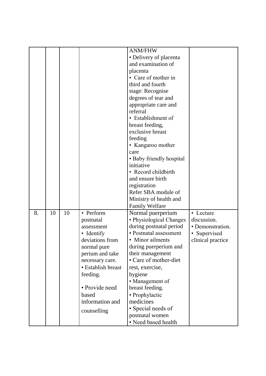|    |    |    |                    | <b>ANM/FHW</b>           |                   |
|----|----|----|--------------------|--------------------------|-------------------|
|    |    |    |                    | · Delivery of placenta   |                   |
|    |    |    |                    | and examination of       |                   |
|    |    |    |                    |                          |                   |
|    |    |    |                    | placenta                 |                   |
|    |    |    |                    | • Care of mother in      |                   |
|    |    |    |                    | third and fourth         |                   |
|    |    |    |                    | stage: Recognise         |                   |
|    |    |    |                    | degrees of tear and      |                   |
|    |    |    |                    | appropriate care and     |                   |
|    |    |    |                    | referral                 |                   |
|    |    |    |                    | • Establishment of       |                   |
|    |    |    |                    | breast feeding,          |                   |
|    |    |    |                    | exclusive breast         |                   |
|    |    |    |                    | feeding                  |                   |
|    |    |    |                    | • Kangaroo mother        |                   |
|    |    |    |                    | care                     |                   |
|    |    |    |                    | • Baby friendly hospital |                   |
|    |    |    |                    | initiative               |                   |
|    |    |    |                    | • Record childbirth      |                   |
|    |    |    |                    | and ensure birth         |                   |
|    |    |    |                    | registration             |                   |
|    |    |    |                    | Refer SBA module of      |                   |
|    |    |    |                    | Ministry of health and   |                   |
|    |    |    |                    | <b>Family Welfare</b>    |                   |
| 8. | 10 | 10 | • Perform          | Normal puerperium        | • Lecture         |
|    |    |    | postnatal          | • Physiological Changes  | discussion.       |
|    |    |    | assessment         | during postnatal period  | • Demonstration.  |
|    |    |    | • Identify         | • Postnatal assessment   | • Supervised      |
|    |    |    | deviations from    | • Minor ailments         | clinical practice |
|    |    |    | normal pure        | during puerperium and    |                   |
|    |    |    | perium and take    | their management         |                   |
|    |    |    | necessary care.    | • Care of mother-diet    |                   |
|    |    |    | • Establish breast | rest, exercise,          |                   |
|    |    |    | feeding.           | hygiene                  |                   |
|    |    |    |                    | • Management of          |                   |
|    |    |    | • Provide need     | breast feeding.          |                   |
|    |    |    | based              | • Prophylactic           |                   |
|    |    |    | information and    | medicines                |                   |
|    |    |    |                    | • Special needs of       |                   |
|    |    |    | counselling        | postnatal women          |                   |
|    |    |    |                    | • Need based health      |                   |
|    |    |    |                    |                          |                   |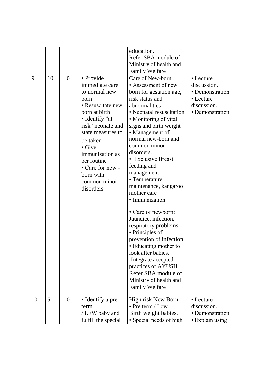|     |    |    |                                                                                                                                                                                                                                                                                      | education.<br>Refer SBA module of<br>Ministry of health and<br><b>Family Welfare</b>                                                                                                                                                                                                                                                                                                                                                                                                                                                                                                                                                                                                 |                                                                                              |
|-----|----|----|--------------------------------------------------------------------------------------------------------------------------------------------------------------------------------------------------------------------------------------------------------------------------------------|--------------------------------------------------------------------------------------------------------------------------------------------------------------------------------------------------------------------------------------------------------------------------------------------------------------------------------------------------------------------------------------------------------------------------------------------------------------------------------------------------------------------------------------------------------------------------------------------------------------------------------------------------------------------------------------|----------------------------------------------------------------------------------------------|
| 9.  | 10 | 10 | · Provide<br>immediate care<br>to normal new<br>born<br>• Resuscitate new<br>born at birth<br>• Identify "at<br>risk" neonate and<br>state measures to<br>be taken<br>$\bullet$ Give<br>immunization as<br>per routine<br>• Care for new -<br>born with<br>common minoi<br>disorders | Care of New-born<br>• Assessment of new<br>born for gestation age,<br>risk status and<br>abnormalities<br>• Neonatal resuscitation<br>• Monitoring of vital<br>signs and birth weight<br>• Management of<br>normal new-born and<br>common minor<br>disorders.<br>• Exclusive Breast<br>feeding and<br>management<br>• Temperature<br>maintenance, kangaroo<br>mother care<br>· Immunization<br>• Care of newborn:<br>Jaundice, infection,<br>respiratory problems<br>• Principles of<br>prevention of infection<br>· Educating mother to<br>look after babies.<br>Integrate accepted<br>practices of AYUSH<br>Refer SBA module of<br>Ministry of health and<br><b>Family Welfare</b> | • Lecture<br>discussion.<br>• Demonstration.<br>• Lecture<br>discussion.<br>• Demonstration. |
| 10. | 5  | 10 | • Identify a pre<br>term<br>/ LEW baby and<br>fulfill the special                                                                                                                                                                                                                    | High risk New Born<br>$\cdot$ Pre term / Low<br>Birth weight babies.<br>• Special needs of high                                                                                                                                                                                                                                                                                                                                                                                                                                                                                                                                                                                      | • Lecture<br>discussion.<br>• Demonstration.<br>• Explain using                              |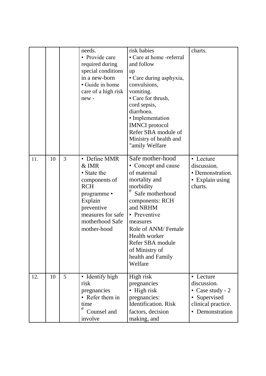|     |    |   | needs.<br>• Provide care<br>required during<br>special conditions<br>in a new-born<br>• Guide in home<br>care of a high risk<br>new-                                 | risk babies<br>• Care at home -referral<br>and follow<br>up<br>• Care during asphyxia,<br>convulsions,<br>vomiting.<br>• Care for thrush,<br>cord sepsis,<br>diarrhoea.<br>• Implementation<br><b>IMNCI</b> protocol<br>Refer SBA module of<br>Ministry of health and<br>"amily Welfare" | charts.                                                                                                 |
|-----|----|---|----------------------------------------------------------------------------------------------------------------------------------------------------------------------|------------------------------------------------------------------------------------------------------------------------------------------------------------------------------------------------------------------------------------------------------------------------------------------|---------------------------------------------------------------------------------------------------------|
| 11. | 10 | 3 | • Define MMR<br>$&$ IMR<br>• State the<br>components of<br><b>RCH</b><br>programme •<br>Explain<br>preventive<br>measures for safe<br>motherhood Safe<br>mother-hood | Safe mother-hood<br>• Concept and cause<br>of maternal<br>mortality and<br>morbidity<br>Safe motherhood<br>components: RCH<br>and NRHM<br>• Preventive<br>measures<br>Role of ANM/Female<br>Health worker<br>Refer SBA module<br>of Ministry of<br>health and Family<br>Welfare          | • Lecture<br>discussion.<br>• Demonstration.<br>• Explain using<br>charts.                              |
| 12. | 10 | 5 | • Identify high<br>risk<br>pregnancies<br>• Refer them in<br>time<br>e<br>Counsel and<br>involve                                                                     | High risk<br>pregnancies<br>$\bullet$ High risk<br>pregnancies:<br><b>Identification</b> . Risk<br>factors, decision<br>making, and                                                                                                                                                      | • Lecture<br>discussion.<br>• Case study - $2$<br>• Supervised<br>clinical practice.<br>• Demonstration |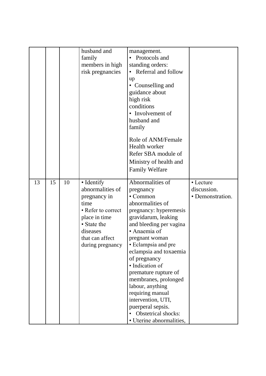|    |    |    | husband and<br>family<br>members in high<br>risk pregnancies                                                                                                    | management.<br>• Protocols and<br>standing orders:<br>• Referral and follow<br>up<br>• Counselling and<br>guidance about<br>high risk<br>conditions<br>• Involvement of<br>husband and                                                                                                                                                                                                                                                                |                                              |
|----|----|----|-----------------------------------------------------------------------------------------------------------------------------------------------------------------|-------------------------------------------------------------------------------------------------------------------------------------------------------------------------------------------------------------------------------------------------------------------------------------------------------------------------------------------------------------------------------------------------------------------------------------------------------|----------------------------------------------|
|    |    |    |                                                                                                                                                                 | family<br>Role of ANM/Female<br>Health worker<br>Refer SBA module of<br>Ministry of health and<br><b>Family Welfare</b>                                                                                                                                                                                                                                                                                                                               |                                              |
| 13 | 15 | 10 | • Identify<br>abnormalities of<br>pregnancy in<br>time<br>• Refer to correct<br>place in time<br>• State the<br>diseases<br>that can affect<br>during pregnancy | Abnormalities of<br>pregnancy<br>• Common<br>abnormalities of<br>pregnancy: hyperemesis<br>gravidarum, leaking<br>and bleeding per vagina<br>• Anaemia of<br>pregnant woman<br>· Eclampsia and pre<br>eclampsia and toxaemia<br>of pregnancy<br>· Indication of<br>premature rupture of<br>membranes, prolonged<br>labour, anything<br>requiring manual<br>intervention, UTI,<br>puerperal sepsis.<br>Obstetrical shocks:<br>• Uterine abnormalities, | • Lecture<br>discussion.<br>• Demonstration. |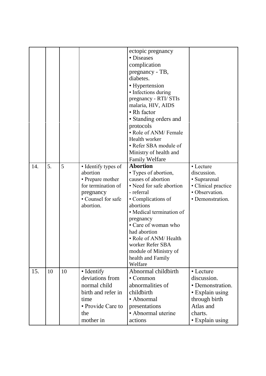|     |    |    |                                 | ectopic pregnancy                      |                                       |
|-----|----|----|---------------------------------|----------------------------------------|---------------------------------------|
|     |    |    |                                 | • Diseases                             |                                       |
|     |    |    |                                 | complication                           |                                       |
|     |    |    |                                 | pregnancy - TB,<br>diabetes.           |                                       |
|     |    |    |                                 |                                        |                                       |
|     |    |    |                                 | • Hypertension<br>• Infections during  |                                       |
|     |    |    |                                 | pregnancy - RTI/ STIs                  |                                       |
|     |    |    |                                 | malaria, HIV, AIDS                     |                                       |
|     |    |    |                                 | • Rh factor                            |                                       |
|     |    |    |                                 | · Standing orders and                  |                                       |
|     |    |    |                                 | protocols                              |                                       |
|     |    |    |                                 | • Role of ANM/ Female                  |                                       |
|     |    |    |                                 | Health worker                          |                                       |
|     |    |    |                                 | • Refer SBA module of                  |                                       |
|     |    |    |                                 | Ministry of health and                 |                                       |
|     |    |    |                                 | <b>Family Welfare</b>                  |                                       |
| 14. | 5. | 5  | • Identify types of             | <b>Abortion</b>                        | • Lecture                             |
|     |    |    | abortion                        | • Types of abortion,                   | discussion.                           |
|     |    |    | • Prepare mother                | causes of abortion                     | • Suprarenal                          |
|     |    |    | for termination of<br>pregnancy | • Need for safe abortion<br>- referral | • Clinical practice<br>· Observation. |
|     |    |    | • Counsel for safe              | • Complications of                     | • Demonstration.                      |
|     |    |    | abortion.                       | abortions                              |                                       |
|     |    |    |                                 | • Medical termination of               |                                       |
|     |    |    |                                 | pregnancy                              |                                       |
|     |    |    |                                 | • Care of woman who                    |                                       |
|     |    |    |                                 | had abortion                           |                                       |
|     |    |    |                                 | • Role of ANM/Health                   |                                       |
|     |    |    |                                 | worker Refer SBA                       |                                       |
|     |    |    |                                 | module of Ministry of                  |                                       |
|     |    |    |                                 | health and Family<br>Welfare           |                                       |
| 15. | 10 | 10 | • Identify                      | Abnormal childbirth                    | • Lecture                             |
|     |    |    | deviations from                 | $\bullet$ Common                       | discussion.                           |
|     |    |    | normal child                    | abnormalities of                       | • Demonstration.                      |
|     |    |    | birth and refer in              | childbirth                             | • Explain using                       |
|     |    |    | time                            | • Abnormal                             | through birth                         |
|     |    |    | • Provide Care to               | presentations                          | Atlas and                             |
|     |    |    | the                             | • Abnormal uterine                     | charts.                               |
|     |    |    | mother in                       | actions                                | • Explain using                       |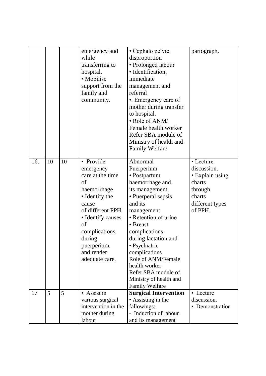|     |    |    | emergency and<br>while<br>transferring to<br>hospital.<br>• Mobilise<br>support from the<br>family and<br>community.                                                                                                | • Cephalo pelvic<br>disproportion<br>• Prolonged labour<br>· Identification,<br>immediate<br>management and<br>referral<br>•. Emergency care of<br>mother during transfer<br>to hospital.<br>• Role of ANM/<br>Female health worker<br>Refer SBA module of<br>Ministry of health and<br><b>Family Welfare</b>                                               | partograph.                                                                                              |
|-----|----|----|---------------------------------------------------------------------------------------------------------------------------------------------------------------------------------------------------------------------|-------------------------------------------------------------------------------------------------------------------------------------------------------------------------------------------------------------------------------------------------------------------------------------------------------------------------------------------------------------|----------------------------------------------------------------------------------------------------------|
| 16. | 10 | 10 | • Provide<br>emergency<br>care at the time<br>of<br>haemorrhage<br>• Identify the<br>cause<br>of different PPH.<br>• Identify causes<br>of<br>complications<br>during<br>puerperium<br>and render<br>adequate care. | Abnormal<br>Puerperium<br>• Postpartum<br>haemorrhage and<br>its management.<br>• Puerperal sepsis<br>and its<br>management<br>• Retention of urine<br>• Breast<br>complications<br>during lactation and<br>• Psychiatric<br>complications<br>Role of ANM/Female<br>health worker<br>Refer SBA module of<br>Ministry of health and<br><b>Family Welfare</b> | • Lecture<br>discussion.<br>· Explain using<br>charts<br>through<br>charts<br>different types<br>of PPH. |
| 17  | 5  | 5  | • Assist in<br>various surgical<br>intervention in the<br>mother during<br>labour                                                                                                                                   | <b>Surgical Intervention</b><br>• Assisting in the<br>fallowings:<br>- Induction of labour<br>and its management                                                                                                                                                                                                                                            | • Lecture<br>discussion.<br>• Demonstration                                                              |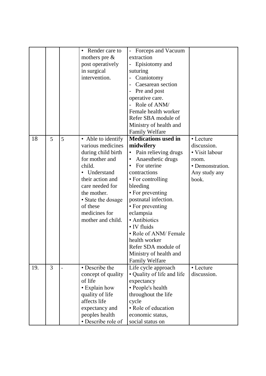|     |                |   | Render care to     | Forceps and Vacuum             |                  |
|-----|----------------|---|--------------------|--------------------------------|------------------|
|     |                |   | mothers pre $\&$   | extraction                     |                  |
|     |                |   | post operatively   | Episiotomy and                 |                  |
|     |                |   | in surgical        | suturing                       |                  |
|     |                |   | intervention.      | Craniotomy                     |                  |
|     |                |   |                    | Caesarean section              |                  |
|     |                |   |                    | Pre and post                   |                  |
|     |                |   |                    | operative care.                |                  |
|     |                |   |                    | Role of ANM/                   |                  |
|     |                |   |                    | Female health worker           |                  |
|     |                |   |                    | Refer SBA module of            |                  |
|     |                |   |                    | Ministry of health and         |                  |
|     |                |   |                    | <b>Family Welfare</b>          |                  |
| 18  | 5              | 5 | • Able to identify | <b>Medications used in</b>     | • Lecture        |
|     |                |   | various medicines  | midwifery                      | discussion.      |
|     |                |   | during child birth | Pain relieving drugs           | • Visit labour   |
|     |                |   | for mother and     | Anaesthetic drugs<br>$\bullet$ | room.            |
|     |                |   | child.             | For uterine                    | • Demonstration. |
|     |                |   | • Understand       | contractions                   | Any study any    |
|     |                |   | their action and   | • For controlling              | book.            |
|     |                |   | care needed for    | bleeding                       |                  |
|     |                |   | the mother.        | • For preventing               |                  |
|     |                |   | • State the dosage | postnatal infection.           |                  |
|     |                |   | of these           | • For preventing               |                  |
|     |                |   | medicines for      | eclampsia                      |                  |
|     |                |   | mother and child.  | • Antibiotics                  |                  |
|     |                |   |                    | • IV fluids                    |                  |
|     |                |   |                    | • Role of ANM/ Female          |                  |
|     |                |   |                    | health worker                  |                  |
|     |                |   |                    | Refer SDA module of            |                  |
|     |                |   |                    | Ministry of health and         |                  |
|     |                |   |                    | <b>Family Welfare</b>          |                  |
| 19. | $\overline{3}$ |   | • Describe the     | Life cycle approach            | • Lecture        |
|     |                |   | concept of quality | • Quality of life and life     | discussion.      |
|     |                |   | of life            | expectancy                     |                  |
|     |                |   | • Explain how      | • People's health              |                  |
|     |                |   | quality of life    | throughout the life            |                  |
|     |                |   | affects life       | cycle                          |                  |
|     |                |   | expectancy and     | • Role of education            |                  |
|     |                |   | peoples health     | economic status,               |                  |
|     |                |   | • Describe role of | social status on               |                  |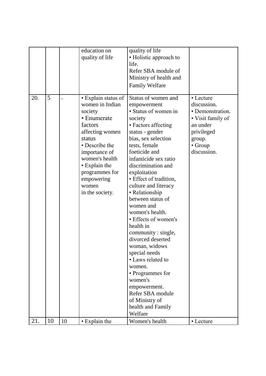|     |    |    | education on<br>quality of life                                                                                                                                                                                                            | quality of life<br>• Holistic approach to<br>life.<br>Refer SBA module of<br>Ministry of health and<br><b>Family Welfare</b>                                                                                                                                                                                                                                                                                                                                                                                                                                                                                                            |                                                                                                                                 |
|-----|----|----|--------------------------------------------------------------------------------------------------------------------------------------------------------------------------------------------------------------------------------------------|-----------------------------------------------------------------------------------------------------------------------------------------------------------------------------------------------------------------------------------------------------------------------------------------------------------------------------------------------------------------------------------------------------------------------------------------------------------------------------------------------------------------------------------------------------------------------------------------------------------------------------------------|---------------------------------------------------------------------------------------------------------------------------------|
| 20. | 5  |    | • Explain status of<br>women in Indian<br>society<br>• Enumerate<br>factors<br>affecting women<br>status<br>• Describe the<br>importance of<br>women's health<br>• Explain the<br>programmes for<br>empowering<br>women<br>in the society. | Status of women and<br>empowerment<br>· Status of women in<br>society<br>• Factors affecting<br>status - gender<br>bias, sex selection<br>tests, female<br>foeticide and<br>infanticide sex ratio<br>discrimination and<br>exploitation<br>· Effect of tradition,<br>culture and literacy<br>• Relationship<br>between status of<br>women and<br>women's health.<br>• Effects of women's<br>health in<br>community : single,<br>divorced deserted<br>woman, widows<br>special needs<br>• Laws related to<br>women.<br>• Programmes for<br>women's<br>empowerment.<br>Refer SBA module<br>of Ministry of<br>health and Family<br>Welfare | • Lecture<br>discussion.<br>• Demonstration.<br>• Visit family of<br>an under<br>privileged<br>group.<br>• Group<br>discussion. |
| 21. | 10 | 10 | • Explain the                                                                                                                                                                                                                              | Women's health                                                                                                                                                                                                                                                                                                                                                                                                                                                                                                                                                                                                                          | • Lecture                                                                                                                       |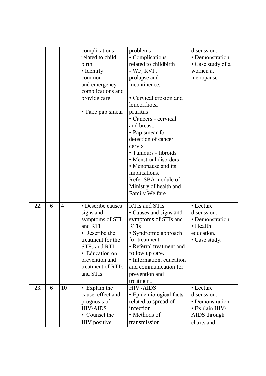|     |   |                | complications              | problems                                 | discussion.                   |
|-----|---|----------------|----------------------------|------------------------------------------|-------------------------------|
|     |   |                | related to child<br>birth. | • Complications<br>related to childbirth | • Demonstration.              |
|     |   |                | • Identify                 | $-$ WF, RVF,                             | • Case study of a<br>women at |
|     |   |                | common                     | prolapse and                             | menopause                     |
|     |   |                | and emergency              | incontinence.                            |                               |
|     |   |                | complications and          |                                          |                               |
|     |   |                | provide care               | • Cervical erosion and                   |                               |
|     |   |                |                            | leucorrhoea                              |                               |
|     |   |                | • Take pap smear           | pruritus                                 |                               |
|     |   |                |                            | • Cancers - cervical                     |                               |
|     |   |                |                            | and breast:                              |                               |
|     |   |                |                            | • Pap smear for                          |                               |
|     |   |                |                            | detection of cancer                      |                               |
|     |   |                |                            | cervix                                   |                               |
|     |   |                |                            | · Tumours - fibroids                     |                               |
|     |   |                |                            | • Menstrual disorders                    |                               |
|     |   |                |                            | • Menopause and its                      |                               |
|     |   |                |                            | implications.                            |                               |
|     |   |                |                            | Refer SBA module of                      |                               |
|     |   |                |                            | Ministry of health and                   |                               |
|     |   |                |                            | <b>Family Welfare</b>                    |                               |
| 22. | 6 | $\overline{4}$ | • Describe causes          | <b>RTIs and STIs</b>                     | • Lecture                     |
|     |   |                | signs and                  | • Causes and signs and                   | discussion.                   |
|     |   |                | symptoms of STI            | symptoms of STIs and                     | • Demonstration.              |
|     |   |                | and RTI                    | <b>RTIs</b>                              | • Health                      |
|     |   |                | • Describe the             | • Syndromic approach                     | education.                    |
|     |   |                | treatment for the          | for treatment                            | • Case study.                 |
|     |   |                | <b>STFs and RTI</b>        | • Referral treatment and                 |                               |
|     |   |                | • Education on             | follow up care.                          |                               |
|     |   |                | prevention and             | • Information, education                 |                               |
|     |   |                | treatment of RTI's         | and communication for                    |                               |
|     |   |                | and STIs                   | prevention and<br>treatment.             |                               |
| 23. | 6 | 10             | • Explain the              | <b>HIV/AIDS</b>                          | • Lecture                     |
|     |   |                | cause, effect and          | • Epidemiological facts                  | discussion.                   |
|     |   |                | prognosis of               | related to spread of                     | • Demonstration               |
|     |   |                | <b>HIV/AIDS</b>            | infection                                | $\cdot$ Explain HIV/          |
|     |   |                | • Counsel the              | • Methods of                             | AIDS through                  |
|     |   |                | HIV positive               | transmission                             | charts and                    |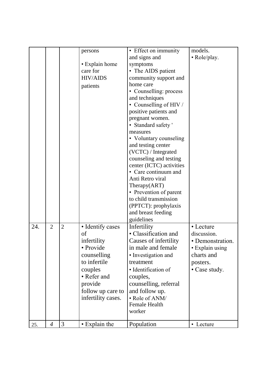|     |                |                |                            | • Effect on immunity     | models.          |
|-----|----------------|----------------|----------------------------|--------------------------|------------------|
|     |                |                | persons                    | and signs and            |                  |
|     |                |                |                            |                          | • Role/play.     |
|     |                |                | • Explain home<br>care for | symptoms                 |                  |
|     |                |                |                            | • The AIDS patient       |                  |
|     |                |                | <b>HIV/AIDS</b>            | community support and    |                  |
|     |                |                | patients                   | home care                |                  |
|     |                |                |                            | • Counselling: process   |                  |
|     |                |                |                            | and techniques           |                  |
|     |                |                |                            | • Counselling of HIV /   |                  |
|     |                |                |                            | positive patients and    |                  |
|     |                |                |                            | pregnant women.          |                  |
|     |                |                |                            | • Standard safety'       |                  |
|     |                |                |                            | measures                 |                  |
|     |                |                |                            | • Voluntary counseling   |                  |
|     |                |                |                            | and testing center       |                  |
|     |                |                |                            | (VCTC) / Integrated      |                  |
|     |                |                |                            | counseling and testing   |                  |
|     |                |                |                            | center (ICTC) activities |                  |
|     |                |                |                            | • Care continuum and     |                  |
|     |                |                |                            | Anti Retro viral         |                  |
|     |                |                |                            | Theray(ART)              |                  |
|     |                |                |                            | • Prevention of parent   |                  |
|     |                |                |                            | to child transmission    |                  |
|     |                |                |                            | (PPTCT): prophylaxis     |                  |
|     |                |                |                            | and breast feeding       |                  |
|     |                |                |                            | guidelines               |                  |
| 24. | $\overline{2}$ | $\overline{2}$ | · Identify cases           | Infertility              | • Lecture        |
|     |                |                | of                         | • Classification and     | discussion.      |
|     |                |                | infertility                | Causes of infertility    | • Demonstration. |
|     |                |                | • Provide                  | in male and female       | • Explain using  |
|     |                |                | counselling                | • Investigation and      | charts and       |
|     |                |                | to infertile               | treatment                | posters.         |
|     |                |                | couples                    | · Identification of      | • Case study.    |
|     |                |                | • Refer and                |                          |                  |
|     |                |                |                            | couples,                 |                  |
|     |                |                | provide                    | counselling, referral    |                  |
|     |                |                | follow up care to          | and follow up.           |                  |
|     |                |                | infertility cases.         | • Role of ANM/           |                  |
|     |                |                |                            | <b>Female Health</b>     |                  |
|     |                |                |                            | worker                   |                  |
|     |                | 3              |                            |                          |                  |
| 25. | $\overline{4}$ |                | • Explain the              | Population               | • Lecture        |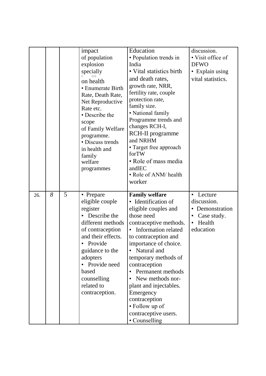|     |   |   | impact<br>of population<br>explosion<br>specially<br>on health<br>• Enumerate Birth<br>Rate, Death Rate,<br>Net Reproductive<br>Rate etc.<br>• Describe the<br>scope<br>of Family Welfare<br>programme.<br>· Discuss trends<br>in health and<br>family<br>welfare<br>programmes | Education<br>• Population trends in<br>India<br>• Vital statistics birth<br>and death rates,<br>growth rate, NRR,<br>fertility rate, couple<br>protection rate,<br>family size.<br>• National family<br>Programme trends and<br>changes RCH-I,<br><b>RCH-II</b> programme<br>and NRHM<br>• Target free approach<br>forTW<br>• Role of mass media<br>andlEC<br>• Role of ANM/ health<br>worker                           | discussion.<br>• Visit office of<br><b>DFWO</b><br>• Explain using<br>vital statistics.                     |
|-----|---|---|---------------------------------------------------------------------------------------------------------------------------------------------------------------------------------------------------------------------------------------------------------------------------------|-------------------------------------------------------------------------------------------------------------------------------------------------------------------------------------------------------------------------------------------------------------------------------------------------------------------------------------------------------------------------------------------------------------------------|-------------------------------------------------------------------------------------------------------------|
| 26. | 8 | 5 | • Prepare<br>eligible couple<br>register<br>Describe the<br>different methods<br>of contraception<br>and their effects.<br>Provide<br>guidance to the<br>adopters<br>Provide need<br>based<br>counselling<br>related to<br>contraception.                                       | <b>Family welfare</b><br>• Identification of<br>eligible couples and<br>those need<br>contraceptive methods.<br>• Information related<br>to contraception and<br>importance of choice.<br>Natural and<br>$\bullet$<br>temporary methods of<br>contraception<br>Permanent methods<br>New methods nor-<br>plant and injectables.<br>Emergency<br>contraception<br>• Follow up of<br>contraceptive users.<br>• Counselling | • Lecture<br>discussion.<br>• Demonstration<br>Case study.<br>$\bullet$<br>Health<br>$\bullet$<br>education |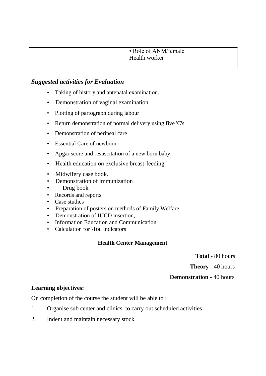|  | • Role of ANM/female<br>Health worker |  |
|--|---------------------------------------|--|
|  |                                       |  |

- Taking of history and antenatal examination.
- Demonstration of vaginal examination
- Plotting of partograph during labour
- Return demonstration of normal delivery using five 'C's
- Demonstration of perineal care
- Essential Care of newborn
- Apgar score and resuscitation of a new born baby.
- Health education on exclusive breast-feeding
- Midwifery case book.
- Demonstration of immunization
- Drug book
- Records and reports
- Case studies
- Preparation of posters on methods of Family Welfare
- Demonstration of IUCD insertion,
- Information Education and Communication
- Calculation for \1tal indicators

#### **Health Center Management**

**Total** - 80 hours

**Theory** - 40 hours

#### **Demonstration -** 40 hours

#### **Learning objectives:**

On completion of the course the student will be able to :

- 1. Organise sub center and clinics to carry out scheduled activities.
- 2. Indent and maintain necessary stock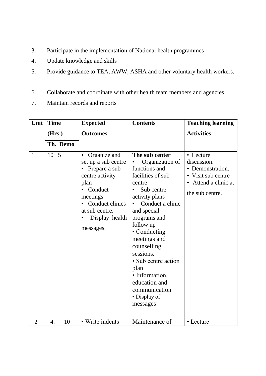- 3. Participate in the implementation of National health programmes
- 4. Update knowledge and skills
- 5. Provide guidance to TEA, AWW, ASHA and other voluntary health workers.
- 6. Collaborate and coordinate with other health team members and agencies
- 7. Maintain records and reports

| Unit | <b>Time</b>      |          | <b>Expected</b>                                                                                                                                                                                      | <b>Contents</b>                                                                                                                                                                                                                                                                                                                                              | <b>Teaching learning</b>                                                                                    |
|------|------------------|----------|------------------------------------------------------------------------------------------------------------------------------------------------------------------------------------------------------|--------------------------------------------------------------------------------------------------------------------------------------------------------------------------------------------------------------------------------------------------------------------------------------------------------------------------------------------------------------|-------------------------------------------------------------------------------------------------------------|
|      | (Hrs.)           |          | <b>Outcomes</b>                                                                                                                                                                                      |                                                                                                                                                                                                                                                                                                                                                              | <b>Activities</b>                                                                                           |
|      |                  | Th. Demo |                                                                                                                                                                                                      |                                                                                                                                                                                                                                                                                                                                                              |                                                                                                             |
| 1    | 10               |          | Organize and<br>$\bullet$<br>set up a sub centre<br>Prepare a sub<br>$\bullet$<br>centre activity<br>plan<br>Conduct<br>meetings<br>Conduct clinics<br>at sub centre.<br>Display health<br>messages. | The sub center<br>Organization of<br>functions and<br>facilities of sub<br>centre<br>Sub centre<br>activity plans<br>Conduct a clinic<br>and special<br>programs and<br>follow up<br>• Conducting<br>meetings and<br>counselling<br>sessions.<br>• Sub centre action<br>plan<br>• Information,<br>education and<br>communication<br>• Display of<br>messages | • Lecture<br>discussion.<br>• Demonstration.<br>• Visit sub centre<br>Attend a clinic at<br>the sub centre. |
| 2.   | $\overline{4}$ . | 10       | • Write indents                                                                                                                                                                                      | Maintenance of                                                                                                                                                                                                                                                                                                                                               | • Lecture                                                                                                   |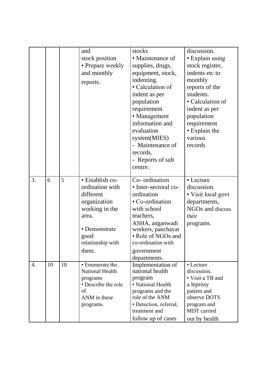|                  |    |    | and<br>stock position<br>• Prepare weekly<br>and monthly<br>reports.                                                                              | stocks<br>• Maintenance of<br>supplies, drugs,<br>equipment, stock,<br>indenting.<br>• Calculation of<br>indent as per<br>population<br>requirement<br>• Management<br>information and<br>evaluation<br>system(MIES)<br>- Maintenance of<br>records.<br>- Reports of sub<br>centre. | discussion.<br>• Explain using<br>stock register,<br>indents etc to<br>monthly<br>reports of the<br>students.<br>• Calculation of<br>indent as per<br>population<br>requirement<br>• Explain the<br>various<br>records |
|------------------|----|----|---------------------------------------------------------------------------------------------------------------------------------------------------|-------------------------------------------------------------------------------------------------------------------------------------------------------------------------------------------------------------------------------------------------------------------------------------|------------------------------------------------------------------------------------------------------------------------------------------------------------------------------------------------------------------------|
| 3.               | 6  | 5  | · Establish co-<br>ordination with<br>different<br>organization<br>working in the<br>area.<br>• Demonstrate<br>good<br>relationship with<br>them. | Co- ordination<br>• Inter-sectoral co-<br>ordination<br>• Co-ordination<br>with school<br>teachers,<br>ASHA, anganwadi<br>workers, panchayat<br>• Role of NGOs and<br>co-ordination with<br>government<br>departments.                                                              | • Lecture<br>discussion.<br>• Visit local govt<br>departments,<br>NGOs and discuss<br>their<br>programs.                                                                                                               |
| $\overline{4}$ . | 10 | 10 | • Enumerate the<br><b>National Health</b><br>programs<br>• Describe the role<br>of<br>ANM in these<br>programs.                                   | Implementation of<br>national health<br>program<br>• National Health<br>programs and the<br>role of the ANM<br>· Detection, referral,<br>treatment and<br>follow up of cases                                                                                                        | • Lecture<br>discussion.<br>• Visit a TB and<br>a leprosy<br>patient and<br>observe DOTS<br>program and<br>MDT carried<br>out by health                                                                                |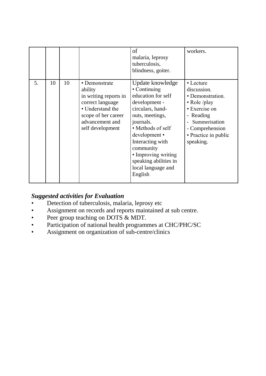|    |    |    |                                                                                                                                                         | of<br>malaria, leprosy<br>tuberculosis,<br>blindness, goiter.                                                                                                                                                                                                                       | workers.                                                                                                                                                                                              |
|----|----|----|---------------------------------------------------------------------------------------------------------------------------------------------------------|-------------------------------------------------------------------------------------------------------------------------------------------------------------------------------------------------------------------------------------------------------------------------------------|-------------------------------------------------------------------------------------------------------------------------------------------------------------------------------------------------------|
| 5. | 10 | 10 | • Demonstrate<br>ability<br>in writing reports in<br>correct language<br>• Understand the<br>scope of her career<br>advancement and<br>self development | Update knowledge<br>• Continuing<br>education for self<br>development -<br>circulars, hand-<br>outs, meetings,<br>journals.<br>• Methods of self<br>development •<br>Interacting with<br>community<br>• Improving writing<br>speaking abilities in<br>local language and<br>English | • Lecture<br>discussion.<br>• Demonstration.<br>$\bullet$ Role /play<br>• Exercise on<br>Reading<br>$\overline{\phantom{a}}$<br>Summerisation<br>- Comprehension<br>• Practice in public<br>speaking. |

## *Suggested activities for Evaluation*

- Detection of tuberculosis, malaria, leprosy etc
- Assignment on records and reports maintained at sub centre.
- Peer group teaching on DOTS & MDT.
- Participation of national health programmes at CHC/PHC/SC
- Assignment on organization of sub-centre/clinics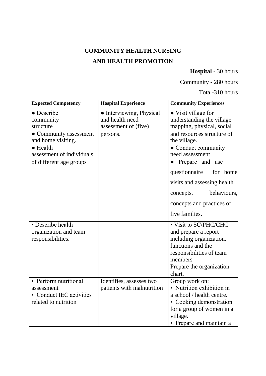# **COMMUNITY HEALTH NURSING AND HEALTH PROMOTION**

### **Hospital** - 30 hours

Community - 280 hours

Total-310 hours

| <b>Expected Competency</b>                                                                                                                                               | <b>Hospital Experience</b>                                                      | <b>Community Experiences</b>                                                                                                                                                             |
|--------------------------------------------------------------------------------------------------------------------------------------------------------------------------|---------------------------------------------------------------------------------|------------------------------------------------------------------------------------------------------------------------------------------------------------------------------------------|
| $\bullet$ Describe<br>community<br>structure<br>• Community assessment<br>and home visiting.<br>$\bullet$ Health<br>assessment of individuals<br>of different age groups | • Interviewing, Physical<br>and health need<br>assessment of (five)<br>persons. | • Visit village for<br>understanding the village<br>mapping, physical, social<br>and resources structure of<br>the village.<br>• Conduct community<br>need assessment<br>Prepare and use |
|                                                                                                                                                                          |                                                                                 | questionnaire<br>for home<br>visits and assessing health<br>behaviours,<br>concepts,<br>concepts and practices of<br>five families.                                                      |
| • Describe health<br>organization and team<br>responsibilities.                                                                                                          |                                                                                 | • Visit to SC/PHC/CHC<br>and prepare a report<br>including organization,<br>functions and the<br>responsibilities of team<br>members<br>Prepare the organization<br>chart.               |
| • Perform nutritional<br>assessment<br>• Conduct IEC activities<br>related to nutrition                                                                                  | Identifies, assesses two<br>patients with malnutrition                          | Group work on:<br>• Nutrition exhibition in<br>a school / health centre.<br>• Cooking demonstration<br>for a group of women in a<br>village.<br>• Prepare and maintain a                 |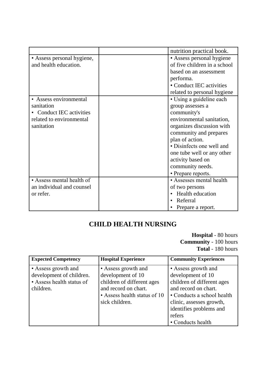|                            | nutrition practical book.    |
|----------------------------|------------------------------|
| • Assess personal hygiene, | • Assess personal hygiene    |
| and health education.      | of five children in a school |
|                            | based on an assessment       |
|                            | performa.                    |
|                            | • Conduct IEC activities     |
|                            | related to personal hygiene  |
| • Assess environmental     | • Using a guideline each     |
| sanitation                 | group assesses a             |
| • Conduct IEC activities   | community's                  |
| related to environmental   | environmental sanitation,    |
| sanitation                 | organizes discussion with    |
|                            | community and prepares       |
|                            | plan of action.              |
|                            | • Disinfects one well and    |
|                            | one tube well or any other   |
|                            | activity based on            |
|                            | community needs.             |
|                            | • Prepare reports.           |
| • Assess mental health of  | • Assesses mental health     |
| an individual and counsel  | of two persons               |
| or refer.                  | Health education             |
|                            | Referral                     |
|                            | Prepare a report.            |

## **CHILD HEALTH NURSING**

**Hospital** - 80 hours **Community** - 100 hours **Total** - 180 hours

| <b>Expected Competency</b>                                                                | <b>Hospital Experience</b>                                                                                                                       | <b>Community Experiences</b>                                                                                                                                                                  |
|-------------------------------------------------------------------------------------------|--------------------------------------------------------------------------------------------------------------------------------------------------|-----------------------------------------------------------------------------------------------------------------------------------------------------------------------------------------------|
| • Assess growth and<br>development of children.<br>• Assess health status of<br>children. | • Assess growth and<br>development of 10<br>children of different ages<br>and record on chart.<br>• Assess health status of 10<br>sick children. | • Assess growth and<br>development of 10<br>children of different ages<br>and record on chart.<br>• Conducts a school health<br>clinic, assesses growth,<br>identifies problems and<br>refers |
|                                                                                           |                                                                                                                                                  | • Conducts health                                                                                                                                                                             |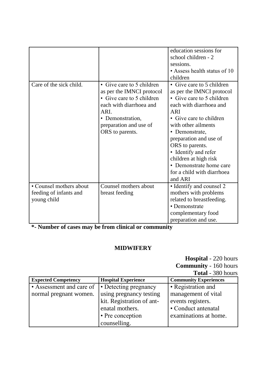|                         |                           | education sessions for       |
|-------------------------|---------------------------|------------------------------|
|                         |                           | school children - 2          |
|                         |                           | sessions.                    |
|                         |                           | • Assess health status of 10 |
|                         |                           | children                     |
| Care of the sick child. | • Give care to 5 children | • Give care to 5 children    |
|                         | as per the IMNCI protocol | as per the IMNCI protocol    |
|                         | • Give care to 5 children | • Give care to 5 children    |
|                         | each with diarrhoea and   | each with diarrhoea and      |
|                         | ARI.                      | <b>ARI</b>                   |
|                         | • Demonstration,          | • Give care to children      |
|                         | preparation and use of    | with other ailments          |
|                         | ORS to parents.           | • Demonstrate,               |
|                         |                           | preparation and use of       |
|                         |                           | ORS to parents.              |
|                         |                           | • Identify and refer         |
|                         |                           | children at high risk        |
|                         |                           | • Demonstrate home care      |
|                         |                           | for a child with diarrhoea   |
|                         |                           | and ARI                      |
| • Counsel mothers about | Counsel mothers about     | • Identify and counsel 2     |
| feeding of infants and  | breast feeding            | mothers with problems        |
| young child             |                           | related to breastfeeding.    |
|                         |                           | • Demonstrate                |
|                         |                           | complementary food           |
|                         |                           | preparation and use.         |

**\*- Number of cases may be from clinical or community**

#### **MIDWIFERY**

**Hospital** - 220 hours **Community** - 160 hours

**Total** - 380 hours

| <b>Expected Competency</b> | <b>Hospital Experience</b> | <b>Community Experiences</b> |
|----------------------------|----------------------------|------------------------------|
| • Assessment and care of   | • Detecting pregnancy      | • Registration and           |
| normal pregnant women.     | using pregnancy testing    | management of vital          |
|                            | kit. Registration of ant-  | events registers.            |
|                            | enatal mothers.            | • Conduct antenatal          |
|                            | • Pre conception           | examinations at home.        |
|                            | counselling.               |                              |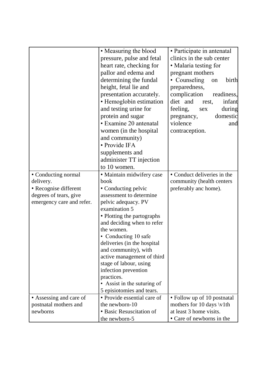|                           | • Measuring the blood       | • Participate in antenatal        |
|---------------------------|-----------------------------|-----------------------------------|
|                           | pressure, pulse and fetal   | clinics in the sub center         |
|                           | heart rate, checking for    | • Malaria testing for             |
|                           |                             |                                   |
|                           | pallor and edema and        | pregnant mothers                  |
|                           | determining the fundal      | • Counseling<br>birth<br>on       |
|                           | height, fetal lie and       | preparedness,                     |
|                           | presentation accurately.    | complication<br>readiness,        |
|                           | • Hemoglobin estimation     | diet and<br>infant<br>rest,       |
|                           | and testing urine for       | feeling,<br>during<br>sex         |
|                           | protein and sugar           | domestic<br>pregnancy,            |
|                           | • Examine 20 antenatal      | violence<br>and                   |
|                           | women (in the hospital      | contraception.                    |
|                           | and community)              |                                   |
|                           | • Provide IFA               |                                   |
|                           | supplements and             |                                   |
|                           | administer TT injection     |                                   |
|                           | to 10 women.                |                                   |
| • Conducting normal       | · Maintain midwifery case   | • Conduct deliveries in the       |
| delivery.                 | book                        | community (health centers         |
| · Recognise different     | • Conducting pelvic         | preferably anc home).             |
| degrees of tears, give    | assessment to determine     |                                   |
| emergency care and refer. | pelvic adequacy. PV         |                                   |
|                           | examination 5               |                                   |
|                           | • Plotting the partographs  |                                   |
|                           | and deciding when to refer  |                                   |
|                           | the women.                  |                                   |
|                           | • Conducting 10 safe        |                                   |
|                           | deliveries (in the hospital |                                   |
|                           | and community), with        |                                   |
|                           | active management of third  |                                   |
|                           | stage of labour, using      |                                   |
|                           | infection prevention        |                                   |
|                           | practices.                  |                                   |
|                           | • Assist in the suturing of |                                   |
|                           | 5 episiotomies and tears.   |                                   |
| • Assessing and care of   | • Provide essential care of | • Follow up of 10 postnatal       |
| postnatal mothers and     | the newborn-10              | mothers for 10 days $\forall$ 1th |
| newborns                  | • Basic Resuscitation of    | at least 3 home visits.           |
|                           | the newborn-5               | • Care of newborns in the         |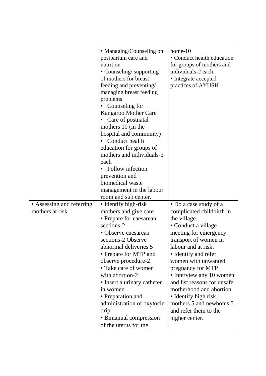|                           | • Managing/Counseling on    | home-10                     |
|---------------------------|-----------------------------|-----------------------------|
|                           | postpartum care and         | • Conduct health education  |
|                           | nutrition                   | for groups of mothers and   |
|                           | • Counseling/supporting     | individuals-2 each.         |
|                           | of mothers for breast       |                             |
|                           |                             | • Integrate accepted        |
|                           | feeding and preventing/     | practices of AYUSH          |
|                           | managing breast feeding     |                             |
|                           | problems                    |                             |
|                           | Counseling for              |                             |
|                           | Kangaroo Mother Care        |                             |
|                           | Care of postnatal           |                             |
|                           | mothers 10 (in the          |                             |
|                           | hospital and community)     |                             |
|                           | Conduct health              |                             |
|                           | education for groups of     |                             |
|                           | mothers and individuals-3   |                             |
|                           | each                        |                             |
|                           | Follow infection            |                             |
|                           | prevention and              |                             |
|                           | biomedical waste            |                             |
|                           | management in the labour    |                             |
|                           | room and sub center.        |                             |
| • Assessing and referring | • Identify high-risk        | • Do a case study of a      |
| mothers at risk           | mothers and give care       | complicated childbirth in   |
|                           | • Prepare for caesarean     | the village.                |
|                           | sections-2                  | • Conduct a village         |
|                           | • Observe caesarean         | meeting for emergency       |
|                           | sections-2 Observe          | transport of women in       |
|                           | abnormal deliveries 5       | labour and at risk.         |
|                           | • Prepare for MTP and       | • Identify and refer        |
|                           | observe procedure-2         | women with unwanted         |
|                           | • Take care of women        | pregnancy for MTP           |
|                           | with abortion-2             | • Interview any 10 women    |
|                           | • Insert a urinary catheter | and list reasons for unsafe |
|                           | in women                    | motherhood and abortion.    |
|                           | • Preparation and           | • Identify high risk        |
|                           | administration of oxytocin  | mothers 5 and newboms 5     |
|                           | drip                        | and refer them to the       |
|                           | • Bimanual compression      | higher center.              |
|                           |                             |                             |
|                           | of the uterus for the       |                             |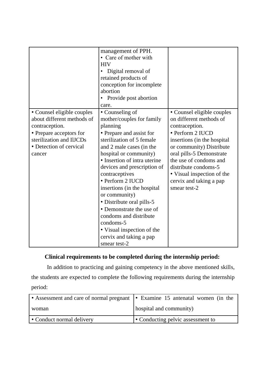|                                                                                                                                                                        | management of PPH.<br>• Care of mother with<br><b>HIV</b><br>Digital removal of<br>retained products of<br>conception for incomplete<br>abortion<br>• Provide post abortion<br>care.                                                                                                                                                                                                                                                                                                                  |                                                                                                                                                                                                                                                                                                               |
|------------------------------------------------------------------------------------------------------------------------------------------------------------------------|-------------------------------------------------------------------------------------------------------------------------------------------------------------------------------------------------------------------------------------------------------------------------------------------------------------------------------------------------------------------------------------------------------------------------------------------------------------------------------------------------------|---------------------------------------------------------------------------------------------------------------------------------------------------------------------------------------------------------------------------------------------------------------------------------------------------------------|
| • Counsel eligible couples<br>about different methods of<br>contraception.<br>• Prepare acceptors for<br>sterilization and IlJCDs<br>• Detection of cervical<br>cancer | • Counseling of<br>mother/couples for family<br>planning<br>• Prepare and assist for<br>sterilization of 5 female<br>and 2 male cases (in the<br>hospital or community)<br>• Insertion of intra uterine<br>devices and prescription of<br>contraceptives<br>• Perform 2 IUCD<br>insertions (in the hospital<br>or community)<br>• Distribute oral pills-5<br>• Demonstrate the use of<br>condoms and distribute<br>condoms-5<br>• Visual inspection of the<br>cervix and taking a pap<br>smear test-2 | • Counsel eligible couples<br>on different methods of<br>contraception.<br>• Perform 2 IUCD<br>insertions (in the hospital<br>or community) Distribute<br>oral pills-5 Demonstrate<br>the use of condoms and<br>distribute condoms-5<br>• Visual inspection of the<br>cervix and taking a pap<br>smear test-2 |

### **Clinical requirements to be completed during the internship period:**

In addition to practicing and gaining competency in the above mentioned skills, the students are expected to complete the following requirements during the internship period:

| • Assessment and care of normal pregnant   • Examine 15 antenatal women (in the |                                   |
|---------------------------------------------------------------------------------|-----------------------------------|
| woman                                                                           | hospital and community)           |
| • Conduct normal delivery                                                       | • Conducting pelvic assessment to |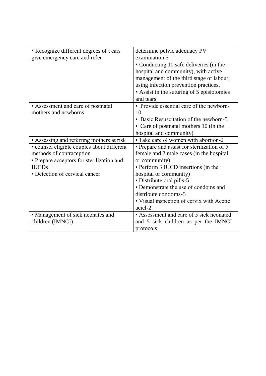| • Recognize different degrees of t ears    | determine pelvic adequacy PV                |
|--------------------------------------------|---------------------------------------------|
| give emergency care and refer              | examination 5                               |
|                                            | • Conducting 10 safe deliveries (in the     |
|                                            | hospital and community), with active        |
|                                            | management of the third stage of labour,    |
|                                            | using infection prevention practices.       |
|                                            | • Assist in the suturing of 5 episiotomies  |
|                                            | and tears                                   |
| • Assessment and care of postnatal         | • Provide essential care of the newborn-    |
| mothers and newborns                       | 10                                          |
|                                            | • Basic Resuscitation of the newborn-5      |
|                                            | • Care of postnatal mothers 10 (in the      |
|                                            | hospital and community)                     |
| • Assessing and referring mothers at risk  | • Take care ol women with abortion-2        |
| · counsel eligible couples about different | • Prepare and assist for sterilization of 5 |
| methods of contraception                   | female and 2 male cases (in the hospital    |
| • Prepare acceptors for sterilization and  | or community)                               |
| <b>IUCDs</b>                               | • Perform 3 IUCD insertions (in the         |
| • Detection of cervical cancer             | hospital or community)                      |
|                                            | • Distribute oral pills-5                   |
|                                            | • Demonstrate the use of condoms and        |
|                                            | distribute condoms-5                        |
|                                            | • Visual inspection of cervix with Acetic   |
|                                            | acicl-2                                     |
| • Management of sick neonates and          | • Assessment and care of 5 sick neonated    |
| children (IMNCI)                           | and 5 sick children as per the IMNCI        |
|                                            | protocols                                   |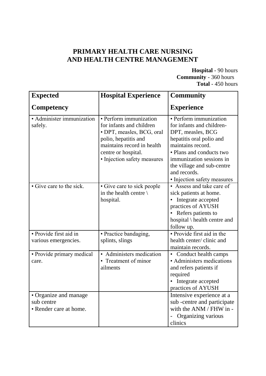### **PRIMARY HEALTH CARE NURSING AND HEALTH CENTRE MANAGEMENT**

**Hospital** - 90 hours **Community** - 360 hours **Total** - 450 hours

| <b>Expected</b>                                               | <b>Hospital Experience</b>                                                                                                                                                                  | <b>Community</b>                                                                                                                                                                                                                                               |
|---------------------------------------------------------------|---------------------------------------------------------------------------------------------------------------------------------------------------------------------------------------------|----------------------------------------------------------------------------------------------------------------------------------------------------------------------------------------------------------------------------------------------------------------|
| Competency                                                    |                                                                                                                                                                                             | <b>Experience</b>                                                                                                                                                                                                                                              |
| · Administer immunization<br>safely.                          | · Perform immunization<br>for infants and children<br>• DPT, measles, BCG, oral<br>polio, hepatitis and<br>maintains record in health<br>centre or hospital.<br>• Injection safety measures | • Perform immunization<br>for infants and children-<br>DPT, measles, BCG<br>hepatitis oral polio and<br>maintains record.<br>• Plans and conducts two<br>immunization sessions in<br>the village and sub-centre<br>and records.<br>• Injection safety measures |
| • Give care to the sick.                                      | • Give care to sick people<br>in the health centre $\setminus$<br>hospital.                                                                                                                 | • Assess and take care of<br>sick patients at home.<br>Integrate accepted<br>practices of AYUSH<br>Refers patients to<br>hospital \ health centre and<br>follow up.                                                                                            |
| · Provide first aid in<br>various emergencies.                | · Practice bandaging,<br>splints, slings                                                                                                                                                    | · Provide first aid in the<br>health center/ clinic and<br>maintain records.                                                                                                                                                                                   |
| • Provide primary medical<br>care.                            | • Administers medication<br>• Treatment of minor<br>ailments                                                                                                                                | • Conduct health camps<br>• Administers medications<br>and refers patients if<br>required<br>Integrate accepted<br>practices of AYUSH                                                                                                                          |
| • Organize and manage<br>sub centre<br>• Render care at home. |                                                                                                                                                                                             | Intensive experience at a<br>sub-centre and participate<br>with the ANM / FHW in -<br>Organizing various<br>clinics                                                                                                                                            |